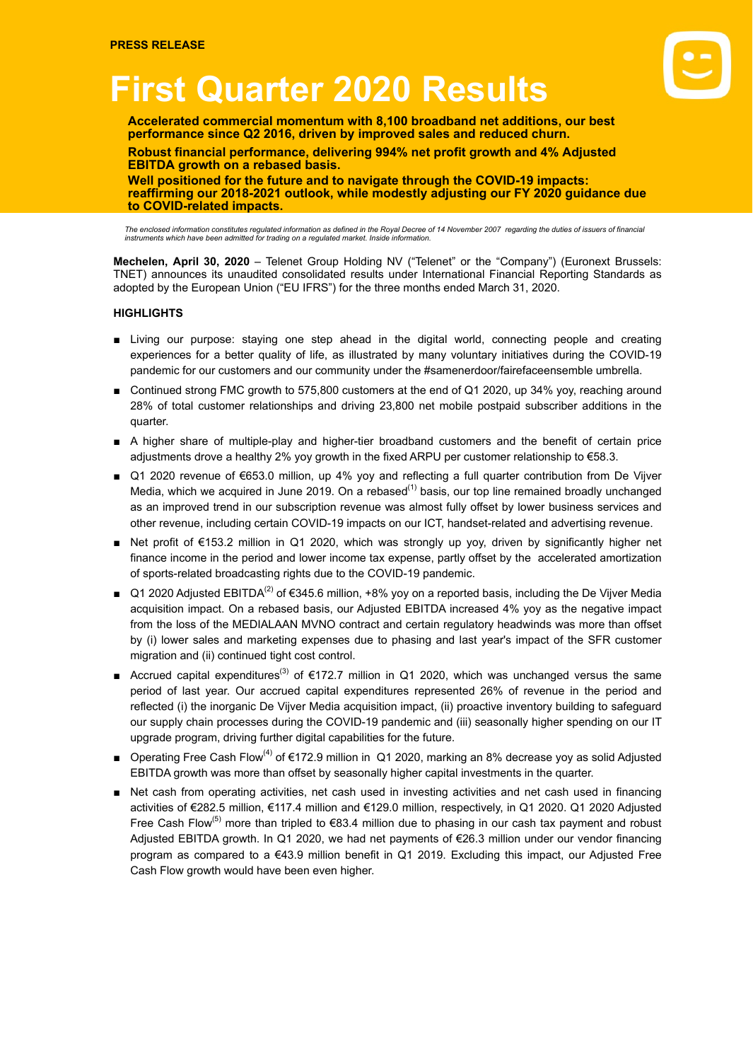# **First Quarter 2020 Results**

**Accelerated commercial momentum with 8,100 broadband net additions, our best performance since Q2 2016, driven by improved sales and reduced churn.**

**Robust financial performance, delivering 994% net profit growth and 4% Adjusted EBITDA growth on a rebased basis.**

**Well positioned for the future and to navigate through the COVID-19 impacts: reaffirming our 2018-2021 outlook, while modestly adjusting our FY 2020 guidance due to COVID-related impacts.**

The enclosed information constitutes regulated information as defined in the Royal Decree of 14 November 2007 regarding the duties of issuers of financial<br>instruments which have been admitted for trading on a regulated mar

**Mechelen, April 30, 2020** – Telenet Group Holding NV ("Telenet" or the "Company") (Euronext Brussels: TNET) announces its unaudited consolidated results under International Financial Reporting Standards as adopted by the European Union ("EU IFRS") for the three months ended March 31, 2020.

### **HIGHLIGHTS**

- Living our purpose: staying one step ahead in the digital world, connecting people and creating experiences for a better quality of life, as illustrated by many voluntary initiatives during the COVID-19 pandemic for our customers and our community under the #samenerdoor/fairefaceensemble umbrella.
- Continued strong FMC growth to 575,800 customers at the end of Q1 2020, up 34% yoy, reaching around 28% of total customer relationships and driving 23,800 net mobile postpaid subscriber additions in the quarter.
- A higher share of multiple-play and higher-tier broadband customers and the benefit of certain price adjustments drove a healthy 2% yoy growth in the fixed ARPU per customer relationship to €58.3.
- Q1 2020 revenue of €653.0 million, up 4% yoy and reflecting a full quarter contribution from De Vijver Media, which we acquired in June 2019. On a rebased<sup>(1)</sup> basis, our top line remained broadly unchanged as an improved trend in our subscription revenue was almost fully offset by lower business services and other revenue, including certain COVID-19 impacts on our ICT, handset-related and advertising revenue.
- Net profit of €153.2 million in Q1 2020, which was strongly up yoy, driven by significantly higher net finance income in the period and lower income tax expense, partly offset by the accelerated amortization of sports-related broadcasting rights due to the COVID-19 pandemic.
- Q1 2020 Adjusted EBITDA<sup>(2)</sup> of €345.6 million, +8% yoy on a reported basis, including the De Vijver Media acquisition impact. On a rebased basis, our Adjusted EBITDA increased 4% yoy as the negative impact from the loss of the MEDIALAAN MVNO contract and certain regulatory headwinds was more than offset by (i) lower sales and marketing expenses due to phasing and last year's impact of the SFR customer migration and (ii) continued tight cost control.
- Accrued capital expenditures<sup>(3)</sup> of €172.7 million in Q1 2020, which was unchanged versus the same period of last year. Our accrued capital expenditures represented 26% of revenue in the period and reflected (i) the inorganic De Vijver Media acquisition impact, (ii) proactive inventory building to safeguard our supply chain processes during the COVID-19 pandemic and (iii) seasonally higher spending on our IT upgrade program, driving further digital capabilities for the future.
- Operating Free Cash Flow<sup>(4)</sup> of €172.9 million in Q1 2020, marking an 8% decrease yoy as solid Adjusted EBITDA growth was more than offset by seasonally higher capital investments in the quarter.
- Net cash from operating activities, net cash used in investing activities and net cash used in financing activities of €282.5 million, €117.4 million and €129.0 million, respectively, in Q1 2020. Q1 2020 Adjusted Free Cash Flow<sup>(5)</sup> more than tripled to €83.4 million due to phasing in our cash tax payment and robust Adjusted EBITDA growth. In Q1 2020, we had net payments of €26.3 million under our vendor financing program as compared to a €43.9 million benefit in Q1 2019. Excluding this impact, our Adjusted Free Cash Flow growth would have been even higher.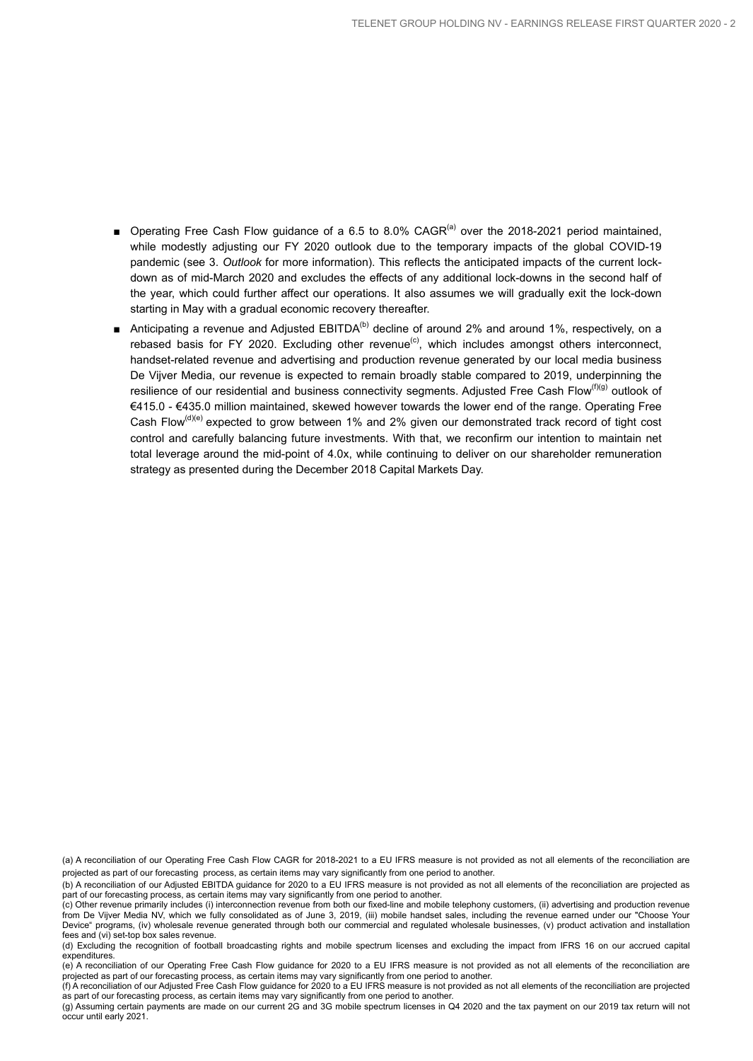- Operating Free Cash Flow guidance of a 6.5 to 8.0% CAGR<sup>(a)</sup> over the 2018-2021 period maintained, while modestly adjusting our FY 2020 outlook due to the temporary impacts of the global COVID-19 pandemic (see 3. *Outlook* for more information). This reflects the anticipated impacts of the current lockdown as of mid-March 2020 and excludes the effects of any additional lock-downs in the second half of the year, which could further affect our operations. It also assumes we will gradually exit the lock-down starting in May with a gradual economic recovery thereafter.
- Anticipating a revenue and Adjusted EBITDA<sup>(b)</sup> decline of around 2% and around 1%, respectively, on a rebased basis for FY 2020. Excluding other revenue<sup>(c)</sup>, which includes amongst others interconnect, handset-related revenue and advertising and production revenue generated by our local media business De Vijver Media, our revenue is expected to remain broadly stable compared to 2019, underpinning the resilience of our residential and business connectivity segments. Adjusted Free Cash Flow<sup>(f)(g)</sup> outlook of €415.0 - €435.0 million maintained, skewed however towards the lower end of the range. Operating Free Cash Flow<sup>(d)(e)</sup> expected to grow between 1% and 2% given our demonstrated track record of tight cost control and carefully balancing future investments. With that, we reconfirm our intention to maintain net total leverage around the mid-point of 4.0x, while continuing to deliver on our shareholder remuneration strategy as presented during the December 2018 Capital Markets Day.

<sup>(</sup>a) A reconciliation of our Operating Free Cash Flow CAGR for 2018-2021 to a EU IFRS measure is not provided as not all elements of the reconciliation are projected as part of our forecasting process, as certain items may vary significantly from one period to another.

<sup>(</sup>b) A reconciliation of our Adjusted EBITDA guidance for 2020 to a EU IFRS measure is not provided as not all elements of the reconciliation are projected as part of our forecasting process, as certain items may vary significantly from one period to another.

<sup>(</sup>c) Other revenue primarily includes (i) interconnection revenue from both our fixed-line and mobile telephony customers, (ii) advertising and production revenue from De Vijver Media NV, which we fully consolidated as of June 3, 2019, (iii) mobile handset sales, including the revenue earned under our "Choose Your Device" programs, (iv) wholesale revenue generated through both our commercial and regulated wholesale businesses, (v) product activation and installation fees and (vi) set-top box sales revenue.

<sup>(</sup>d) Excluding the recognition of football broadcasting rights and mobile spectrum licenses and excluding the impact from IFRS 16 on our accrued capital expenditures.

<sup>(</sup>e) A reconciliation of our Operating Free Cash Flow guidance for 2020 to a EU IFRS measure is not provided as not all elements of the reconciliation are projected as part of our forecasting process, as certain items may vary significantly from one period to another.

<sup>(</sup>f) A reconciliation of our Adjusted Free Cash Flow guidance for 2020 to a EU IFRS measure is not provided as not all elements of the reconciliation are projected as part of our forecasting process, as certain items may vary significantly from one period to another.

<sup>(</sup>g) Assuming certain payments are made on our current 2G and 3G mobile spectrum licenses in Q4 2020 and the tax payment on our 2019 tax return will not occur until early 2021.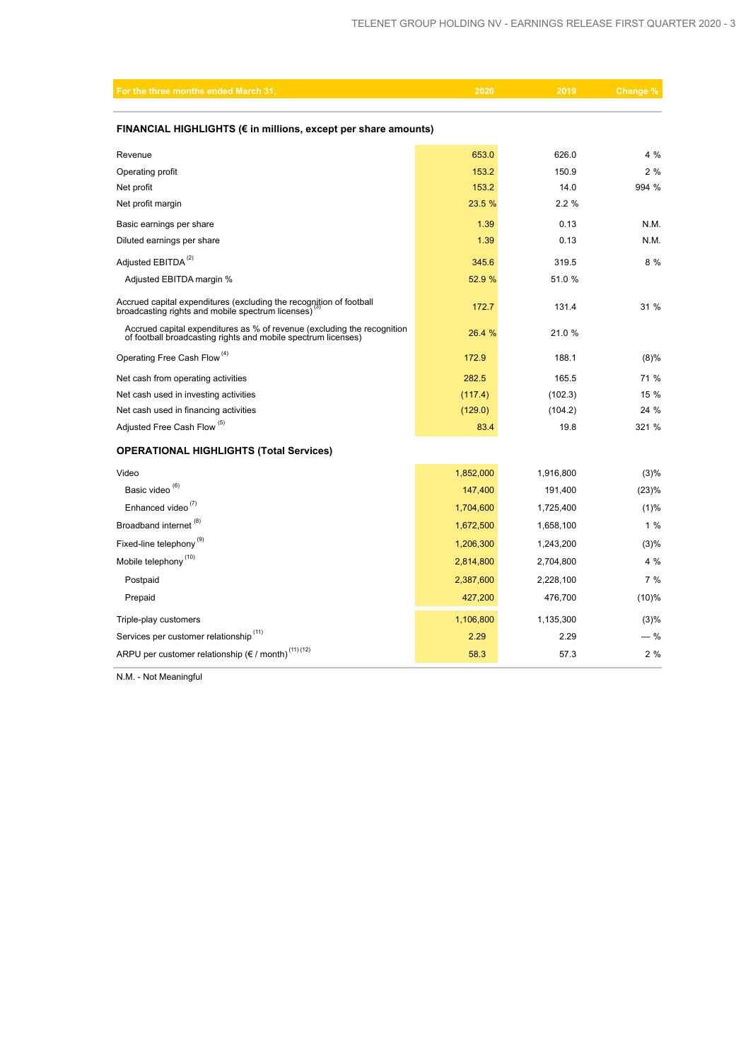| For the three months ended March 31,                                                                                                     | 2020      | 2019      | Change |  |  |  |  |  |  |
|------------------------------------------------------------------------------------------------------------------------------------------|-----------|-----------|--------|--|--|--|--|--|--|
| FINANCIAL HIGHLIGHTS (€ in millions, except per share amounts)                                                                           |           |           |        |  |  |  |  |  |  |
|                                                                                                                                          |           |           |        |  |  |  |  |  |  |
| Revenue                                                                                                                                  | 653.0     | 626.0     | 4 %    |  |  |  |  |  |  |
| Operating profit                                                                                                                         | 153.2     | 150.9     | 2%     |  |  |  |  |  |  |
| Net profit                                                                                                                               | 153.2     | 14.0      | 994 %  |  |  |  |  |  |  |
| Net profit margin                                                                                                                        | 23.5 %    | 2.2%      |        |  |  |  |  |  |  |
| Basic earnings per share                                                                                                                 | 1.39      | 0.13      | N.M.   |  |  |  |  |  |  |
| Diluted earnings per share                                                                                                               | 1.39      | 0.13      | N.M.   |  |  |  |  |  |  |
| Adjusted EBITDA <sup>(2)</sup>                                                                                                           | 345.6     | 319.5     | 8%     |  |  |  |  |  |  |
| Adjusted EBITDA margin %                                                                                                                 | 52.9 %    | 51.0 %    |        |  |  |  |  |  |  |
| Accrued capital expenditures (excluding the recognition of football<br>broadcasting rights and mobile spectrum licenses)                 | 172.7     | 131.4     | 31 %   |  |  |  |  |  |  |
| Accrued capital expenditures as % of revenue (excluding the recognition<br>of football broadcasting rights and mobile spectrum licenses) | 26.4 %    | 21.0%     |        |  |  |  |  |  |  |
| Operating Free Cash Flow <sup>(4)</sup>                                                                                                  | 172.9     | 188.1     | (8)%   |  |  |  |  |  |  |
| Net cash from operating activities                                                                                                       | 282.5     | 165.5     | 71 %   |  |  |  |  |  |  |
| Net cash used in investing activities                                                                                                    | (117.4)   | (102.3)   | 15 %   |  |  |  |  |  |  |
| Net cash used in financing activities                                                                                                    | (129.0)   | (104.2)   | 24 %   |  |  |  |  |  |  |
| Adjusted Free Cash Flow <sup>(5)</sup>                                                                                                   | 83.4      | 19.8      | 321 %  |  |  |  |  |  |  |
| <b>OPERATIONAL HIGHLIGHTS (Total Services)</b>                                                                                           |           |           |        |  |  |  |  |  |  |
| Video                                                                                                                                    | 1,852,000 | 1,916,800 | (3)%   |  |  |  |  |  |  |
| Basic video <sup>(6)</sup>                                                                                                               | 147,400   | 191,400   | (23)%  |  |  |  |  |  |  |
| Enhanced video <sup>(7)</sup>                                                                                                            | 1,704,600 | 1,725,400 | (1)%   |  |  |  |  |  |  |
| Broadband internet <sup>(8)</sup>                                                                                                        | 1,672,500 | 1,658,100 | 1%     |  |  |  |  |  |  |
| Fixed-line telephony <sup>(9)</sup>                                                                                                      | 1,206,300 | 1,243,200 | (3)%   |  |  |  |  |  |  |
| Mobile telephony <sup>(10)</sup>                                                                                                         | 2,814,800 | 2,704,800 | 4 %    |  |  |  |  |  |  |
| Postpaid                                                                                                                                 | 2,387,600 | 2,228,100 | 7%     |  |  |  |  |  |  |
| Prepaid                                                                                                                                  | 427,200   | 476,700   | (10)%  |  |  |  |  |  |  |
| Triple-play customers                                                                                                                    | 1,106,800 | 1,135,300 | (3)%   |  |  |  |  |  |  |
| Services per customer relationship <sup>(11)</sup>                                                                                       | 2.29      | 2.29      | $-$ %  |  |  |  |  |  |  |
| ARPU per customer relationship ( $\varepsilon$ / month) <sup>(11)(12)</sup>                                                              | 58.3      | 57.3      | 2%     |  |  |  |  |  |  |

N.M. - Not Meaningful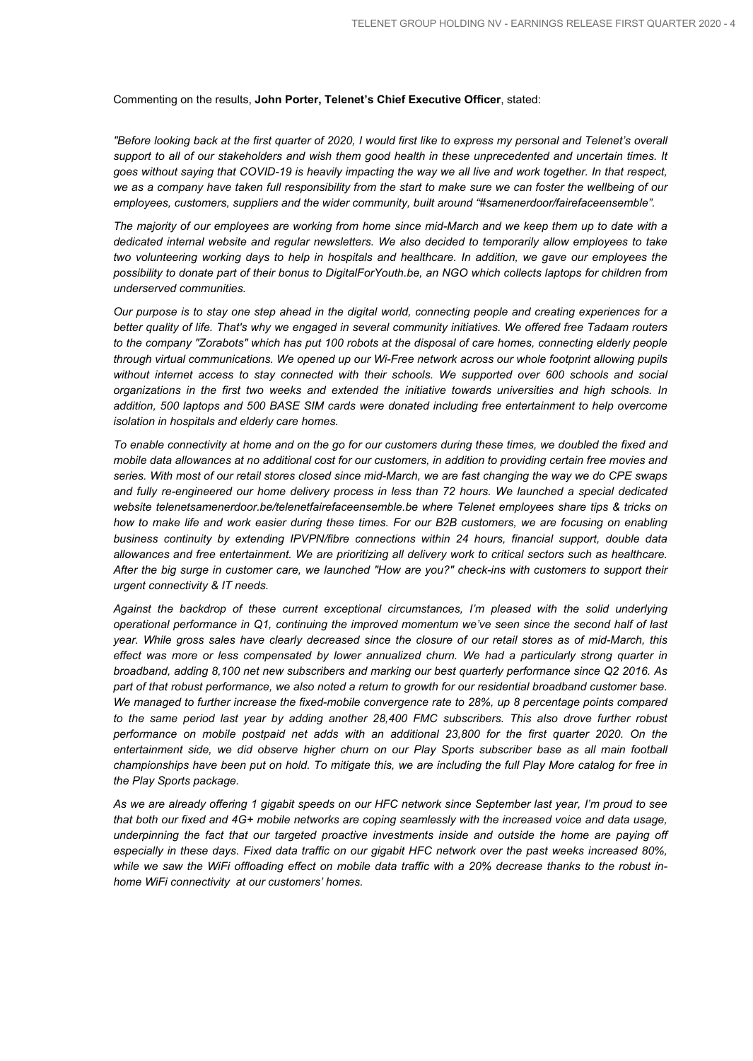Commenting on the results, **John Porter, Telenet's Chief Executive Officer**, stated:

"Before looking back at the first quarter of 2020, I would first like to express my personal and Telenet's overall support to all of our stakeholders and wish them good health in these unprecedented and uncertain times. It goes without saying that COVID-19 is heavily impacting the way we all live and work together. In that respect, we as a company have taken full responsibility from the start to make sure we can foster the wellbeing of our *employees, customers, suppliers and the wider community, built around "#samenerdoor/fairefaceensemble".*

The majority of our employees are working from home since mid-March and we keep them up to date with a *dedicated internal website and regular newsletters. We also decided to temporarily allow employees to take two volunteering working days to help in hospitals and healthcare. In addition, we gave our employees the* possibility to donate part of their bonus to DigitalForYouth.be, an NGO which collects laptops for children from *underserved communities.*

Our purpose is to stay one step ahead in the digital world, connecting people and creating experiences for a better quality of life. That's why we engaged in several community initiatives. We offered free Tadaam routers to the company "Zorabots" which has put 100 robots at the disposal of care homes, connecting elderly people *through virtual communications. We opened up our Wi-Free network across our whole footprint allowing pupils without internet access to stay connected with their schools. We supported over 600 schools and social organizations in the first two weeks and extended the initiative towards universities and high schools. In addition, 500 laptops and 500 BASE SIM cards were donated including free entertainment to help overcome isolation in hospitals and elderly care homes.*

To enable connectivity at home and on the go for our customers during these times, we doubled the fixed and mobile data allowances at no additional cost for our customers, in addition to providing certain free movies and series. With most of our retail stores closed since mid-March, we are fast changing the way we do CPE swaps *and fully re-engineered our home delivery process in less than 72 hours. We launched a special dedicated website telenetsamenerdoor.be/telenetfairefaceensemble.be where Telenet employees share tips & tricks on* how to make life and work easier during these times. For our B2B customers, we are focusing on enabling *business continuity by extending IPVPN/fibre connections within 24 hours, financial support, double data allowances and free entertainment. We are prioritizing all delivery work to critical sectors such as healthcare.* After the big surge in customer care, we launched "How are you?" check-ins with customers to support their *urgent connectivity & IT needs.*

*Against the backdrop of these current exceptional circumstances, I'm pleased with the solid underlying operational performance in Q1, continuing the improved momentum we've seen since the second half of last* year. While gross sales have clearly decreased since the closure of our retail stores as of mid-March, this *effect was more or less compensated by lower annualized churn. We had a particularly strong quarter in broadband, adding 8,100 net new subscribers and marking our best quarterly performance since Q2 2016. As* part of that robust performance, we also noted a return to growth for our residential broadband customer base. *We managed to further increase the fixed-mobile convergence rate to 28%, up 8 percentage points compared to the same period last year by adding another 28,400 FMC subscribers. This also drove further robust performance on mobile postpaid net adds with an additional 23,800 for the first quarter 2020. On the entertainment side, we did observe higher churn on our Play Sports subscriber base as all main football* championships have been put on hold. To mitigate this, we are including the full Play More catalog for free in *the Play Sports package.*

As we are already offering 1 gigabit speeds on our HFC network since September last year, I'm proud to see that both our fixed and 4G+ mobile networks are coping seamlessly with the increased voice and data usage, *underpinning the fact that our targeted proactive investments inside and outside the home are paying off* especially in these days. Fixed data traffic on our gigabit HFC network over the past weeks increased 80%, while we saw the WiFi offloading effect on mobile data traffic with a 20% decrease thanks to the robust in*home WiFi connectivity at our customers' homes.*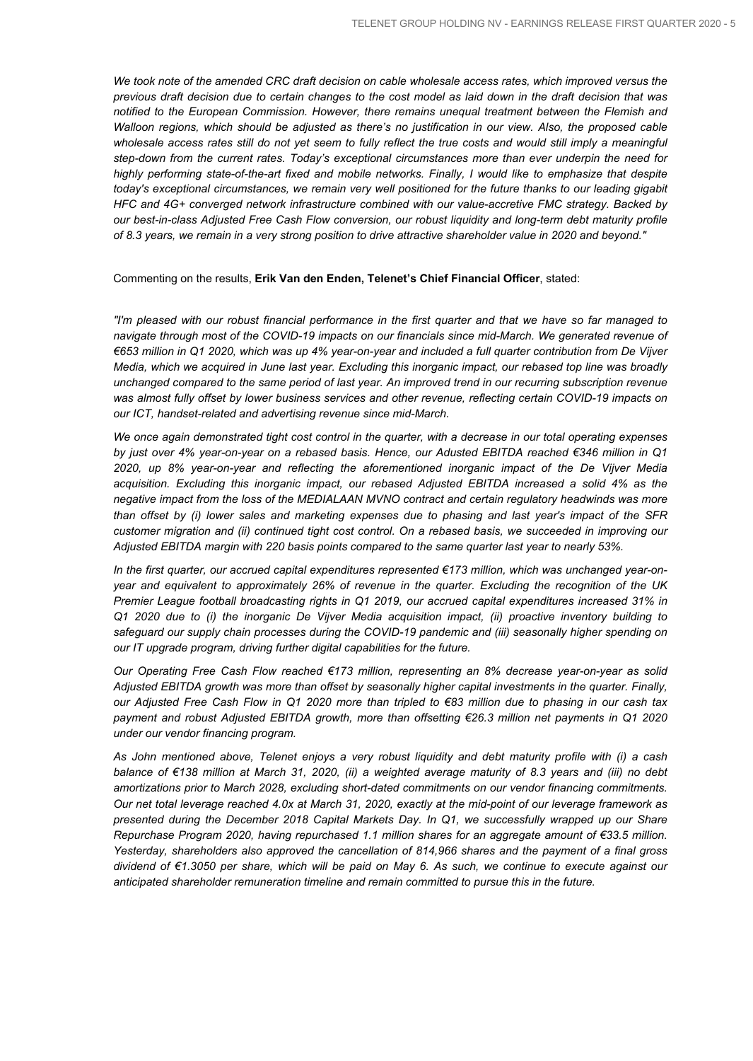We took note of the amended CRC draft decision on cable wholesale access rates, which improved versus the previous draft decision due to certain changes to the cost model as laid down in the draft decision that was *notified to the European Commission. However, there remains unequal treatment between the Flemish and* Walloon regions, which should be adjusted as there's no justification in our view. Also, the proposed cable wholesale access rates still do not yet seem to fully reflect the true costs and would still imply a meaningful *step-down from the current rates. Today's exceptional circumstances more than ever underpin the need for highly performing state-of-the-art fixed and mobile networks. Finally, I would like to emphasize that despite today's exceptional circumstances, we remain very well positioned for the future thanks to our leading gigabit HFC and 4G+ converged network infrastructure combined with our value-accretive FMC strategy. Backed by our best-in-class Adjusted Free Cash Flow conversion, our robust liquidity and long-term debt maturity profile* of 8.3 years, we remain in a very strong position to drive attractive shareholder value in 2020 and beyond."

#### Commenting on the results, **Erik Van den Enden, Telenet's Chief Financial Officer**, stated:

"I'm pleased with our robust financial performance in the first quarter and that we have so far managed to *navigate through most of the COVID-19 impacts on our financials since mid-March. We generated revenue of* €653 million in Q1 2020, which was up 4% year-on-year and included a full quarter contribution from De Vijver Media, which we acquired in June last year. Excluding this inorganic impact, our rebased top line was broadly unchanged compared to the same period of last year. An improved trend in our recurring subscription revenue *was almost fully offset by lower business services and other revenue, reflecting certain COVID-19 impacts on our ICT, handset-related and advertising revenue since mid-March.*

We once again demonstrated tight cost control in the quarter, with a decrease in our total operating expenses by just over 4% year-on-year on a rebased basis. Hence, our Adusted EBITDA reached €346 million in Q1 *2020, up 8% year-on-year and reflecting the aforementioned inorganic impact of the De Vijver Media acquisition. Excluding this inorganic impact, our rebased Adjusted EBITDA increased a solid 4% as the negative impact from the loss of the MEDIALAAN MVNO contract and certain regulatory headwinds was more* than offset by (i) lower sales and marketing expenses due to phasing and last year's impact of the SFR customer migration and (ii) continued tight cost control. On a rebased basis, we succeeded in improving our *Adjusted EBITDA margin with 220 basis points compared to the same quarter last year to nearly 53%.*

*In the first quarter, our accrued capital expenditures represented €173 million, which was unchanged year-onyear and equivalent to approximately 26% of revenue in the quarter. Excluding the recognition of the UK Premier League football broadcasting rights in Q1 2019, our accrued capital expenditures increased 31% in Q1 2020 due to (i) the inorganic De Vijver Media acquisition impact, (ii) proactive inventory building to safeguard our supply chain processes during the COVID-19 pandemic and (iii) seasonally higher spending on our IT upgrade program, driving further digital capabilities for the future.*

*Our Operating Free Cash Flow reached €173 million, representing an 8% decrease year-on-year as solid Adjusted EBITDA growth was more than offset by seasonally higher capital investments in the quarter. Finally,* our Adjusted Free Cash Flow in Q1 2020 more than tripled to €83 million due to phasing in our cash tax *payment and robust Adjusted EBITDA growth, more than offsetting €26.3 million net payments in Q1 2020 under our vendor financing program.*

As John mentioned above, Telenet enjoys a very robust liquidity and debt maturity profile with (i) a cash balance of €138 million at March 31, 2020, (ii) a weighted average maturity of 8.3 years and (iii) no debt *amortizations prior to March 2028, excluding short-dated commitments on our vendor financing commitments.* Our net total leverage reached 4.0x at March 31, 2020, exactly at the mid-point of our leverage framework as *presented during the December 2018 Capital Markets Day. In Q1, we successfully wrapped up our Share Repurchase Program 2020, having repurchased 1.1 million shares for an aggregate amount of €33.5 million. Yesterday, shareholders also approved the cancellation of 814,966 shares and the payment of a final gross* dividend of  $\epsilon$ 1.3050 per share, which will be paid on May 6. As such, we continue to execute against our *anticipated shareholder remuneration timeline and remain committed to pursue this in the future.*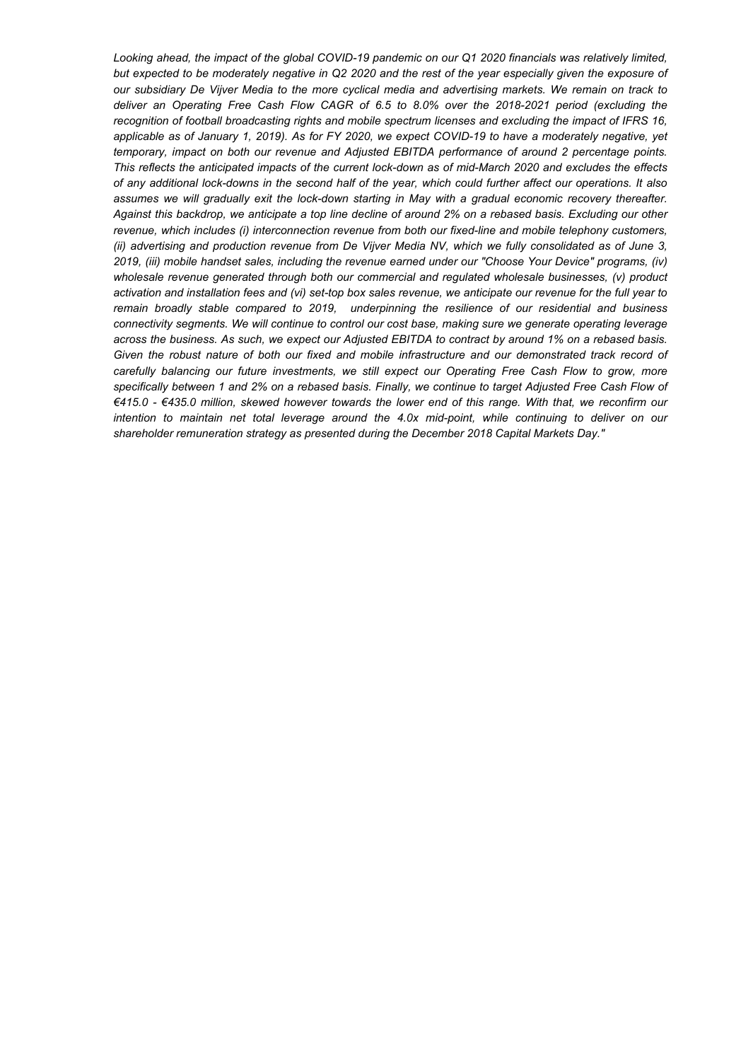Looking ahead, the impact of the global COVID-19 pandemic on our Q1 2020 financials was relatively limited, but expected to be moderately negative in Q2 2020 and the rest of the year especially given the exposure of our subsidiary De Vijver Media to the more cyclical media and advertising markets. We remain on track to *deliver an Operating Free Cash Flow CAGR of 6.5 to 8.0% over the 2018-2021 period (excluding the recognition of football broadcasting rights and mobile spectrum licenses and excluding the impact of IFRS 16,* applicable as of January 1, 2019). As for FY 2020, we expect COVID-19 to have a moderately negative, yet *temporary, impact on both our revenue and Adjusted EBITDA performance of around 2 percentage points.* This reflects the anticipated impacts of the current lock-down as of mid-March 2020 and excludes the effects of any additional lock-downs in the second half of the year, which could further affect our operations. It also *assumes we will gradually exit the lock-down starting in May with a gradual economic recovery thereafter.* Against this backdrop, we anticipate a top line decline of around 2% on a rebased basis. Excluding our other *revenue, which includes (i) interconnection revenue from both our fixed-line and mobile telephony customers,* (ii) advertising and production revenue from De Vijver Media NV, which we fully consolidated as of June 3, *2019, (iii) mobile handset sales, including the revenue earned under our "Choose Your Device" programs, (iv) wholesale revenue generated through both our commercial and regulated wholesale businesses, (v) product* activation and installation fees and (vi) set-top box sales revenue, we anticipate our revenue for the full year to *remain broadly stable compared to 2019, underpinning the resilience of our residential and business connectivity segments. We will continue to control our cost base, making sure we generate operating leverage* across the business. As such, we expect our Adjusted EBITDA to contract by around 1% on a rebased basis. *Given the robust nature of both our fixed and mobile infrastructure and our demonstrated track record of carefully balancing our future investments, we still expect our Operating Free Cash Flow to grow, more* specifically between 1 and 2% on a rebased basis. Finally, we continue to target Adjusted Free Cash Flow of €415.0 - €435.0 million, skewed however towards the lower end of this range. With that, we reconfirm our *intention to maintain net total leverage around the 4.0x mid-point, while continuing to deliver on our shareholder remuneration strategy as presented during the December 2018 Capital Markets Day."*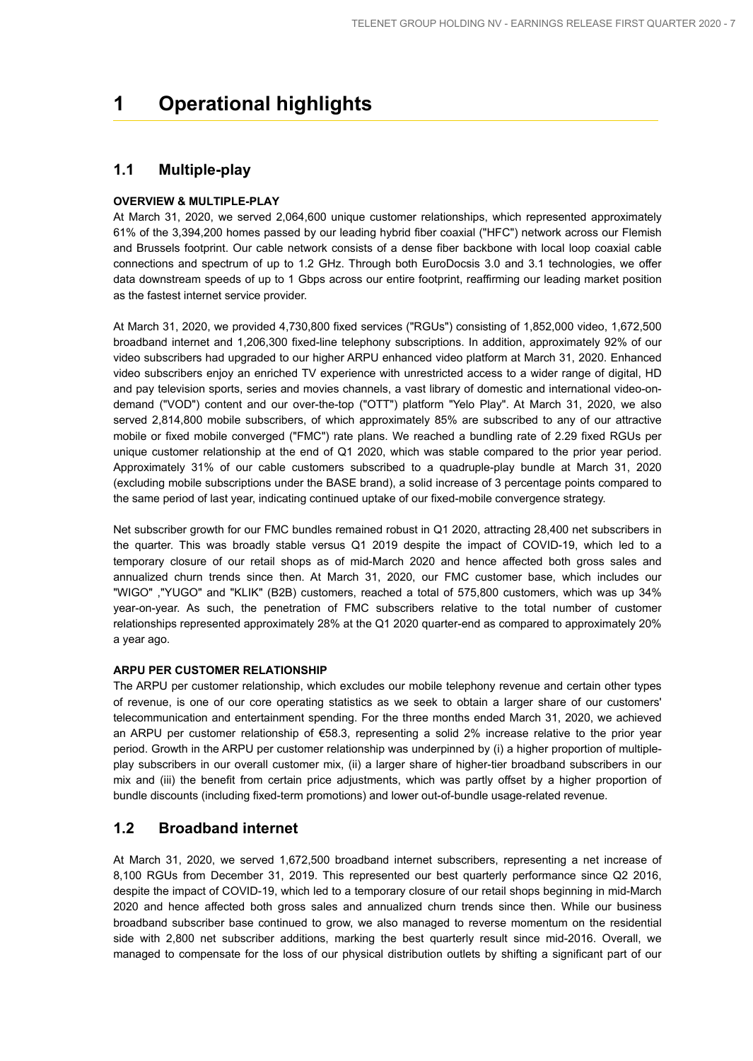## **1 Operational highlights**

### **1.1 Multiple-play**

### **OVERVIEW & MULTIPLE-PLAY**

At March 31, 2020, we served 2,064,600 unique customer relationships, which represented approximately 61% of the 3,394,200 homes passed by our leading hybrid fiber coaxial ("HFC") network across our Flemish and Brussels footprint. Our cable network consists of a dense fiber backbone with local loop coaxial cable connections and spectrum of up to 1.2 GHz. Through both EuroDocsis 3.0 and 3.1 technologies, we offer data downstream speeds of up to 1 Gbps across our entire footprint, reaffirming our leading market position as the fastest internet service provider.

At March 31, 2020, we provided 4,730,800 fixed services ("RGUs") consisting of 1,852,000 video, 1,672,500 broadband internet and 1,206,300 fixed-line telephony subscriptions. In addition, approximately 92% of our video subscribers had upgraded to our higher ARPU enhanced video platform at March 31, 2020. Enhanced video subscribers enjoy an enriched TV experience with unrestricted access to a wider range of digital, HD and pay television sports, series and movies channels, a vast library of domestic and international video-ondemand ("VOD") content and our over-the-top ("OTT") platform "Yelo Play". At March 31, 2020, we also served 2,814,800 mobile subscribers, of which approximately 85% are subscribed to any of our attractive mobile or fixed mobile converged ("FMC") rate plans. We reached a bundling rate of 2.29 fixed RGUs per unique customer relationship at the end of Q1 2020, which was stable compared to the prior year period. Approximately 31% of our cable customers subscribed to a quadruple-play bundle at March 31, 2020 (excluding mobile subscriptions under the BASE brand), a solid increase of 3 percentage points compared to the same period of last year, indicating continued uptake of our fixed-mobile convergence strategy.

Net subscriber growth for our FMC bundles remained robust in Q1 2020, attracting 28,400 net subscribers in the quarter. This was broadly stable versus Q1 2019 despite the impact of COVID-19, which led to a temporary closure of our retail shops as of mid-March 2020 and hence affected both gross sales and annualized churn trends since then. At March 31, 2020, our FMC customer base, which includes our "WIGO" ,"YUGO" and "KLIK" (B2B) customers, reached a total of 575,800 customers, which was up 34% year-on-year. As such, the penetration of FMC subscribers relative to the total number of customer relationships represented approximately 28% at the Q1 2020 quarter-end as compared to approximately 20% a year ago.

### **ARPU PER CUSTOMER RELATIONSHIP**

The ARPU per customer relationship, which excludes our mobile telephony revenue and certain other types of revenue, is one of our core operating statistics as we seek to obtain a larger share of our customers' telecommunication and entertainment spending. For the three months ended March 31, 2020, we achieved an ARPU per customer relationship of €58.3, representing a solid 2% increase relative to the prior year period. Growth in the ARPU per customer relationship was underpinned by (i) a higher proportion of multipleplay subscribers in our overall customer mix, (ii) a larger share of higher-tier broadband subscribers in our mix and (iii) the benefit from certain price adjustments, which was partly offset by a higher proportion of bundle discounts (including fixed-term promotions) and lower out-of-bundle usage-related revenue.

### **1.2 Broadband internet**

At March 31, 2020, we served 1,672,500 broadband internet subscribers, representing a net increase of 8,100 RGUs from December 31, 2019. This represented our best quarterly performance since Q2 2016, despite the impact of COVID-19, which led to a temporary closure of our retail shops beginning in mid-March 2020 and hence affected both gross sales and annualized churn trends since then. While our business broadband subscriber base continued to grow, we also managed to reverse momentum on the residential side with 2,800 net subscriber additions, marking the best quarterly result since mid-2016. Overall, we managed to compensate for the loss of our physical distribution outlets by shifting a significant part of our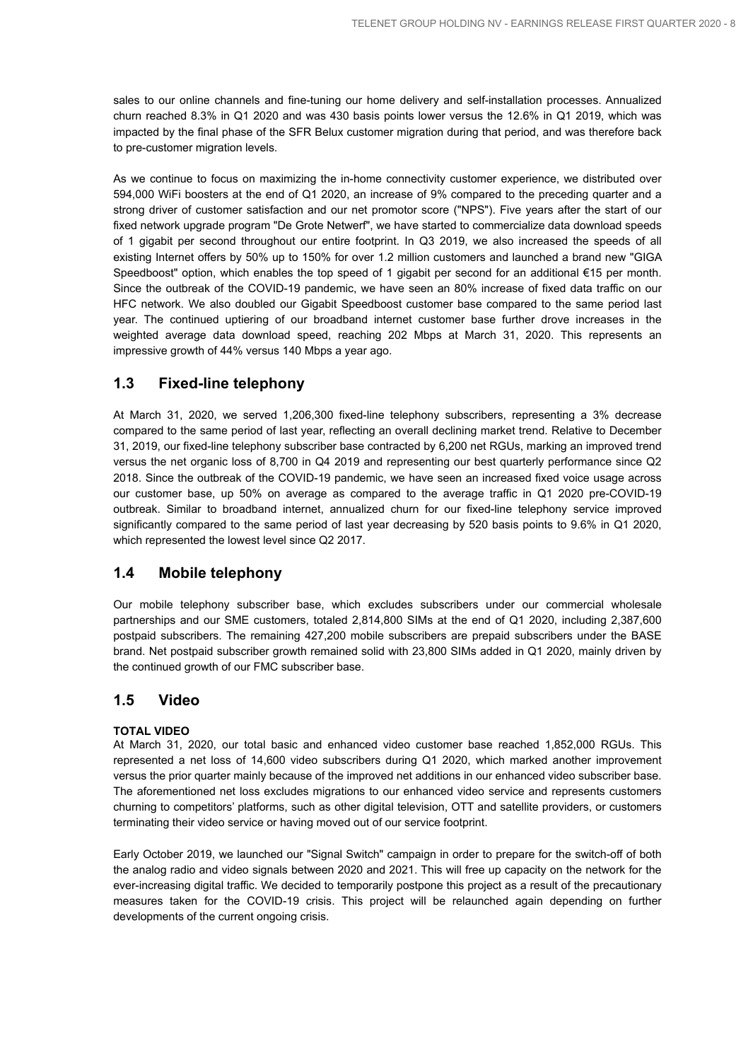sales to our online channels and fine-tuning our home delivery and self-installation processes. Annualized churn reached 8.3% in Q1 2020 and was 430 basis points lower versus the 12.6% in Q1 2019, which was impacted by the final phase of the SFR Belux customer migration during that period, and was therefore back to pre-customer migration levels.

As we continue to focus on maximizing the in-home connectivity customer experience, we distributed over 594,000 WiFi boosters at the end of Q1 2020, an increase of 9% compared to the preceding quarter and a strong driver of customer satisfaction and our net promotor score ("NPS"). Five years after the start of our fixed network upgrade program "De Grote Netwerf", we have started to commercialize data download speeds of 1 gigabit per second throughout our entire footprint. In Q3 2019, we also increased the speeds of all existing Internet offers by 50% up to 150% for over 1.2 million customers and launched a brand new "GIGA Speedboost" option, which enables the top speed of 1 gigabit per second for an additional €15 per month. Since the outbreak of the COVID-19 pandemic, we have seen an 80% increase of fixed data traffic on our HFC network. We also doubled our Gigabit Speedboost customer base compared to the same period last year. The continued uptiering of our broadband internet customer base further drove increases in the weighted average data download speed, reaching 202 Mbps at March 31, 2020. This represents an impressive growth of 44% versus 140 Mbps a year ago.

### **1.3 Fixed-line telephony**

At March 31, 2020, we served 1,206,300 fixed-line telephony subscribers, representing a 3% decrease compared to the same period of last year, reflecting an overall declining market trend. Relative to December 31, 2019, our fixed-line telephony subscriber base contracted by 6,200 net RGUs, marking an improved trend versus the net organic loss of 8,700 in Q4 2019 and representing our best quarterly performance since Q2 2018. Since the outbreak of the COVID-19 pandemic, we have seen an increased fixed voice usage across our customer base, up 50% on average as compared to the average traffic in Q1 2020 pre-COVID-19 outbreak. Similar to broadband internet, annualized churn for our fixed-line telephony service improved significantly compared to the same period of last year decreasing by 520 basis points to 9.6% in Q1 2020, which represented the lowest level since Q2 2017.

### **1.4 Mobile telephony**

Our mobile telephony subscriber base, which excludes subscribers under our commercial wholesale partnerships and our SME customers, totaled 2,814,800 SIMs at the end of Q1 2020, including 2,387,600 postpaid subscribers. The remaining 427,200 mobile subscribers are prepaid subscribers under the BASE brand. Net postpaid subscriber growth remained solid with 23,800 SIMs added in Q1 2020, mainly driven by the continued growth of our FMC subscriber base.

### **1.5 Video**

### **TOTAL VIDEO**

At March 31, 2020, our total basic and enhanced video customer base reached 1,852,000 RGUs. This represented a net loss of 14,600 video subscribers during Q1 2020, which marked another improvement versus the prior quarter mainly because of the improved net additions in our enhanced video subscriber base. The aforementioned net loss excludes migrations to our enhanced video service and represents customers churning to competitors' platforms, such as other digital television, OTT and satellite providers, or customers terminating their video service or having moved out of our service footprint.

Early October 2019, we launched our "Signal Switch" campaign in order to prepare for the switch-off of both the analog radio and video signals between 2020 and 2021. This will free up capacity on the network for the ever-increasing digital traffic. We decided to temporarily postpone this project as a result of the precautionary measures taken for the COVID-19 crisis. This project will be relaunched again depending on further developments of the current ongoing crisis.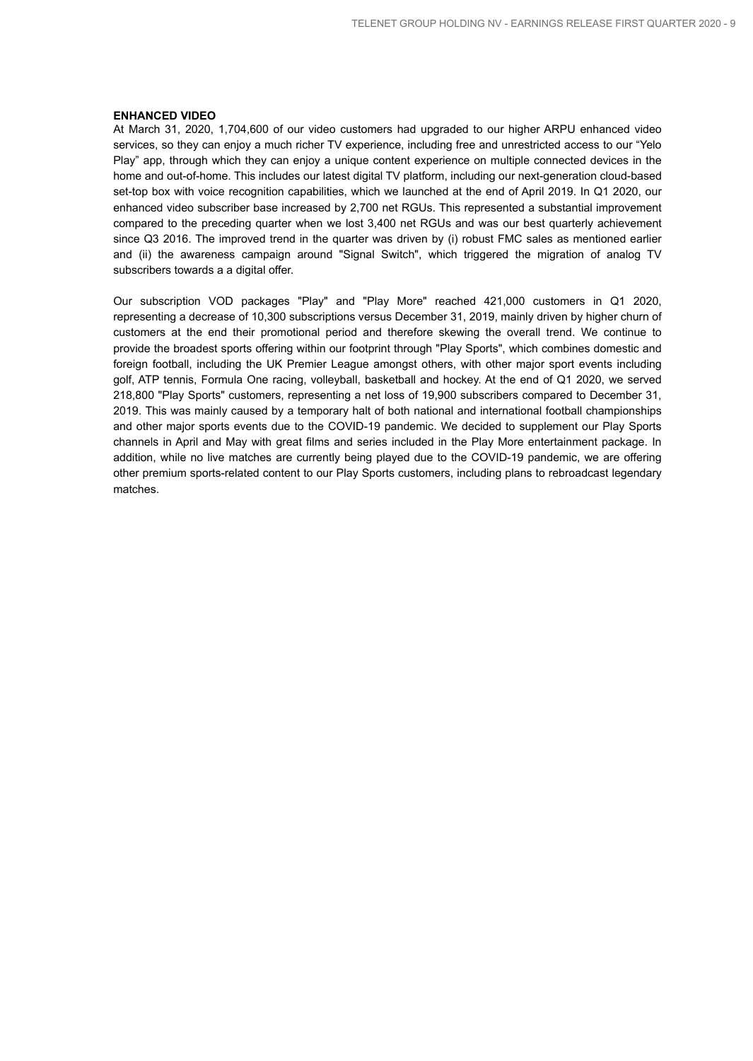#### **ENHANCED VIDEO**

At March 31, 2020, 1,704,600 of our video customers had upgraded to our higher ARPU enhanced video services, so they can enjoy a much richer TV experience, including free and unrestricted access to our "Yelo Play" app, through which they can enjoy a unique content experience on multiple connected devices in the home and out-of-home. This includes our latest digital TV platform, including our next-generation cloud-based set-top box with voice recognition capabilities, which we launched at the end of April 2019. In Q1 2020, our enhanced video subscriber base increased by 2,700 net RGUs. This represented a substantial improvement compared to the preceding quarter when we lost 3,400 net RGUs and was our best quarterly achievement since Q3 2016. The improved trend in the quarter was driven by (i) robust FMC sales as mentioned earlier and (ii) the awareness campaign around "Signal Switch", which triggered the migration of analog TV subscribers towards a a digital offer.

Our subscription VOD packages "Play" and "Play More" reached 421,000 customers in Q1 2020, representing a decrease of 10,300 subscriptions versus December 31, 2019, mainly driven by higher churn of customers at the end their promotional period and therefore skewing the overall trend. We continue to provide the broadest sports offering within our footprint through "Play Sports", which combines domestic and foreign football, including the UK Premier League amongst others, with other major sport events including golf, ATP tennis, Formula One racing, volleyball, basketball and hockey. At the end of Q1 2020, we served 218,800 "Play Sports" customers, representing a net loss of 19,900 subscribers compared to December 31, 2019. This was mainly caused by a temporary halt of both national and international football championships and other major sports events due to the COVID-19 pandemic. We decided to supplement our Play Sports channels in April and May with great films and series included in the Play More entertainment package. In addition, while no live matches are currently being played due to the COVID-19 pandemic, we are offering other premium sports-related content to our Play Sports customers, including plans to rebroadcast legendary matches.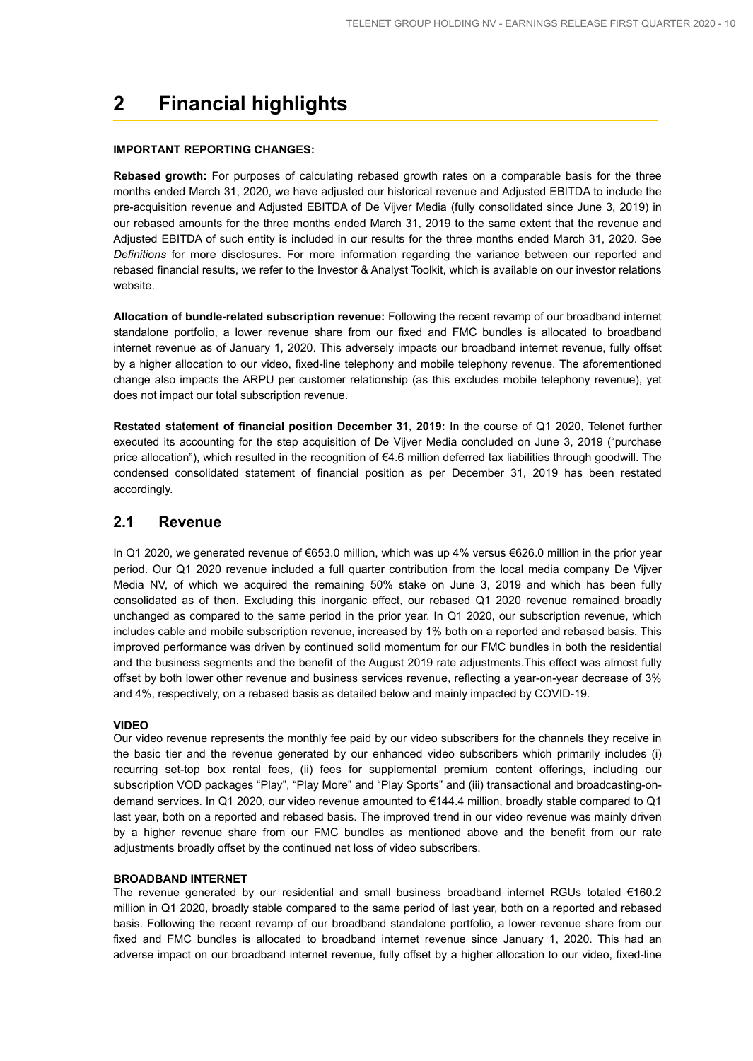## **2 Financial highlights**

### **IMPORTANT REPORTING CHANGES:**

**Rebased growth:** For purposes of calculating rebased growth rates on a comparable basis for the three months ended March 31, 2020, we have adjusted our historical revenue and Adjusted EBITDA to include the pre-acquisition revenue and Adjusted EBITDA of De Vijver Media (fully consolidated since June 3, 2019) in our rebased amounts for the three months ended March 31, 2019 to the same extent that the revenue and Adjusted EBITDA of such entity is included in our results for the three months ended March 31, 2020. See *Definitions* for more disclosures. For more information regarding the variance between our reported and rebased financial results, we refer to the Investor & Analyst Toolkit, which is available on our investor relations website.

**Allocation of bundle-related subscription revenue:** Following the recent revamp of our broadband internet standalone portfolio, a lower revenue share from our fixed and FMC bundles is allocated to broadband internet revenue as of January 1, 2020. This adversely impacts our broadband internet revenue, fully offset by a higher allocation to our video, fixed-line telephony and mobile telephony revenue. The aforementioned change also impacts the ARPU per customer relationship (as this excludes mobile telephony revenue), yet does not impact our total subscription revenue.

**Restated statement of financial position December 31, 2019:** In the course of Q1 2020, Telenet further executed its accounting for the step acquisition of De Vijver Media concluded on June 3, 2019 ("purchase price allocation"), which resulted in the recognition of €4.6 million deferred tax liabilities through goodwill. The condensed consolidated statement of financial position as per December 31, 2019 has been restated accordingly.

### **2.1 Revenue**

In Q1 2020, we generated revenue of €653.0 million, which was up 4% versus €626.0 million in the prior year period. Our Q1 2020 revenue included a full quarter contribution from the local media company De Vijver Media NV, of which we acquired the remaining 50% stake on June 3, 2019 and which has been fully consolidated as of then. Excluding this inorganic effect, our rebased Q1 2020 revenue remained broadly unchanged as compared to the same period in the prior year. In Q1 2020, our subscription revenue, which includes cable and mobile subscription revenue, increased by 1% both on a reported and rebased basis. This improved performance was driven by continued solid momentum for our FMC bundles in both the residential and the business segments and the benefit of the August 2019 rate adjustments.This effect was almost fully offset by both lower other revenue and business services revenue, reflecting a year-on-year decrease of 3% and 4%, respectively, on a rebased basis as detailed below and mainly impacted by COVID-19.

#### **VIDEO**

Our video revenue represents the monthly fee paid by our video subscribers for the channels they receive in the basic tier and the revenue generated by our enhanced video subscribers which primarily includes (i) recurring set-top box rental fees, (ii) fees for supplemental premium content offerings, including our subscription VOD packages "Play", "Play More" and "Play Sports" and (iii) transactional and broadcasting-ondemand services. In Q1 2020, our video revenue amounted to €144.4 million, broadly stable compared to Q1 last year, both on a reported and rebased basis. The improved trend in our video revenue was mainly driven by a higher revenue share from our FMC bundles as mentioned above and the benefit from our rate adjustments broadly offset by the continued net loss of video subscribers.

#### **BROADBAND INTERNET**

The revenue generated by our residential and small business broadband internet RGUs totaled €160.2 million in Q1 2020, broadly stable compared to the same period of last year, both on a reported and rebased basis. Following the recent revamp of our broadband standalone portfolio, a lower revenue share from our fixed and FMC bundles is allocated to broadband internet revenue since January 1, 2020. This had an adverse impact on our broadband internet revenue, fully offset by a higher allocation to our video, fixed-line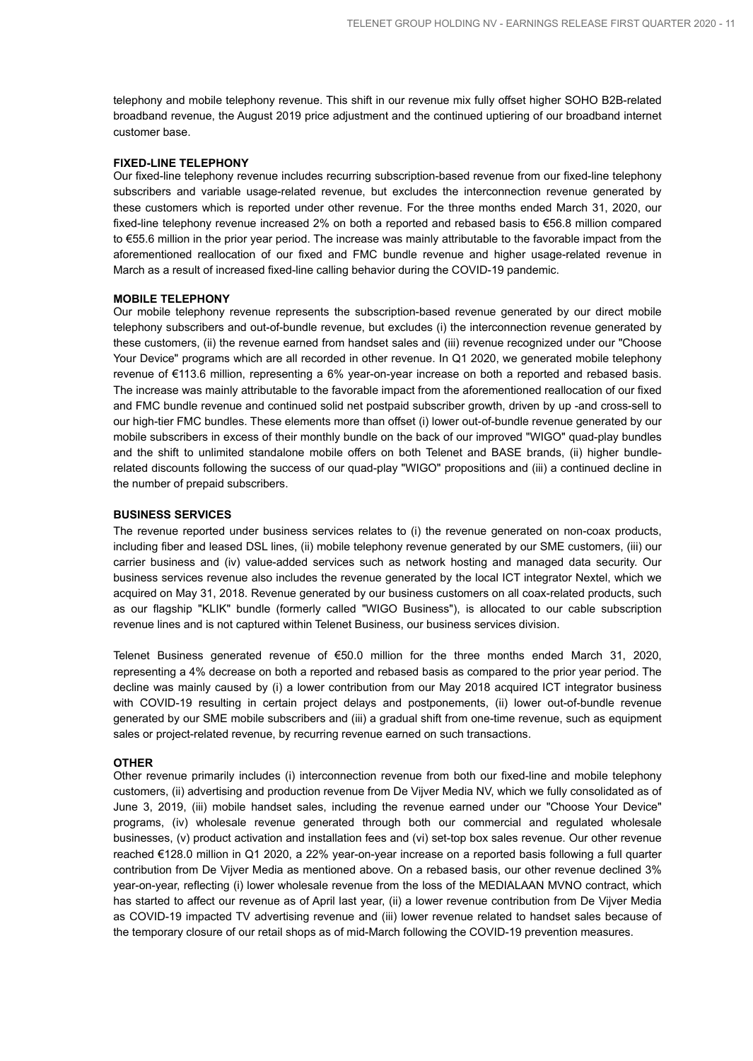telephony and mobile telephony revenue. This shift in our revenue mix fully offset higher SOHO B2B-related broadband revenue, the August 2019 price adjustment and the continued uptiering of our broadband internet customer base.

#### **FIXED-LINE TELEPHONY**

Our fixed-line telephony revenue includes recurring subscription-based revenue from our fixed-line telephony subscribers and variable usage-related revenue, but excludes the interconnection revenue generated by these customers which is reported under other revenue. For the three months ended March 31, 2020, our fixed-line telephony revenue increased 2% on both a reported and rebased basis to €56.8 million compared to €55.6 million in the prior year period. The increase was mainly attributable to the favorable impact from the aforementioned reallocation of our fixed and FMC bundle revenue and higher usage-related revenue in March as a result of increased fixed-line calling behavior during the COVID-19 pandemic.

### **MOBILE TELEPHONY**

Our mobile telephony revenue represents the subscription-based revenue generated by our direct mobile telephony subscribers and out-of-bundle revenue, but excludes (i) the interconnection revenue generated by these customers, (ii) the revenue earned from handset sales and (iii) revenue recognized under our "Choose Your Device" programs which are all recorded in other revenue. In Q1 2020, we generated mobile telephony revenue of €113.6 million, representing a 6% year-on-year increase on both a reported and rebased basis. The increase was mainly attributable to the favorable impact from the aforementioned reallocation of our fixed and FMC bundle revenue and continued solid net postpaid subscriber growth, driven by up -and cross-sell to our high-tier FMC bundles. These elements more than offset (i) lower out-of-bundle revenue generated by our mobile subscribers in excess of their monthly bundle on the back of our improved "WIGO" quad-play bundles and the shift to unlimited standalone mobile offers on both Telenet and BASE brands, (ii) higher bundlerelated discounts following the success of our quad-play "WIGO" propositions and (iii) a continued decline in the number of prepaid subscribers.

#### **BUSINESS SERVICES**

The revenue reported under business services relates to (i) the revenue generated on non-coax products, including fiber and leased DSL lines, (ii) mobile telephony revenue generated by our SME customers, (iii) our carrier business and (iv) value-added services such as network hosting and managed data security. Our business services revenue also includes the revenue generated by the local ICT integrator Nextel, which we acquired on May 31, 2018. Revenue generated by our business customers on all coax-related products, such as our flagship "KLIK" bundle (formerly called "WIGO Business"), is allocated to our cable subscription revenue lines and is not captured within Telenet Business, our business services division.

Telenet Business generated revenue of €50.0 million for the three months ended March 31, 2020, representing a 4% decrease on both a reported and rebased basis as compared to the prior year period. The decline was mainly caused by (i) a lower contribution from our May 2018 acquired ICT integrator business with COVID-19 resulting in certain project delays and postponements, (ii) lower out-of-bundle revenue generated by our SME mobile subscribers and (iii) a gradual shift from one-time revenue, such as equipment sales or project-related revenue, by recurring revenue earned on such transactions.

#### **OTHER**

Other revenue primarily includes (i) interconnection revenue from both our fixed-line and mobile telephony customers, (ii) advertising and production revenue from De Vijver Media NV, which we fully consolidated as of June 3, 2019, (iii) mobile handset sales, including the revenue earned under our "Choose Your Device" programs, (iv) wholesale revenue generated through both our commercial and regulated wholesale businesses, (v) product activation and installation fees and (vi) set-top box sales revenue. Our other revenue reached €128.0 million in Q1 2020, a 22% year-on-year increase on a reported basis following a full quarter contribution from De Vijver Media as mentioned above. On a rebased basis, our other revenue declined 3% year-on-year, reflecting (i) lower wholesale revenue from the loss of the MEDIALAAN MVNO contract, which has started to affect our revenue as of April last year, (ii) a lower revenue contribution from De Vijver Media as COVID-19 impacted TV advertising revenue and (iii) lower revenue related to handset sales because of the temporary closure of our retail shops as of mid-March following the COVID-19 prevention measures.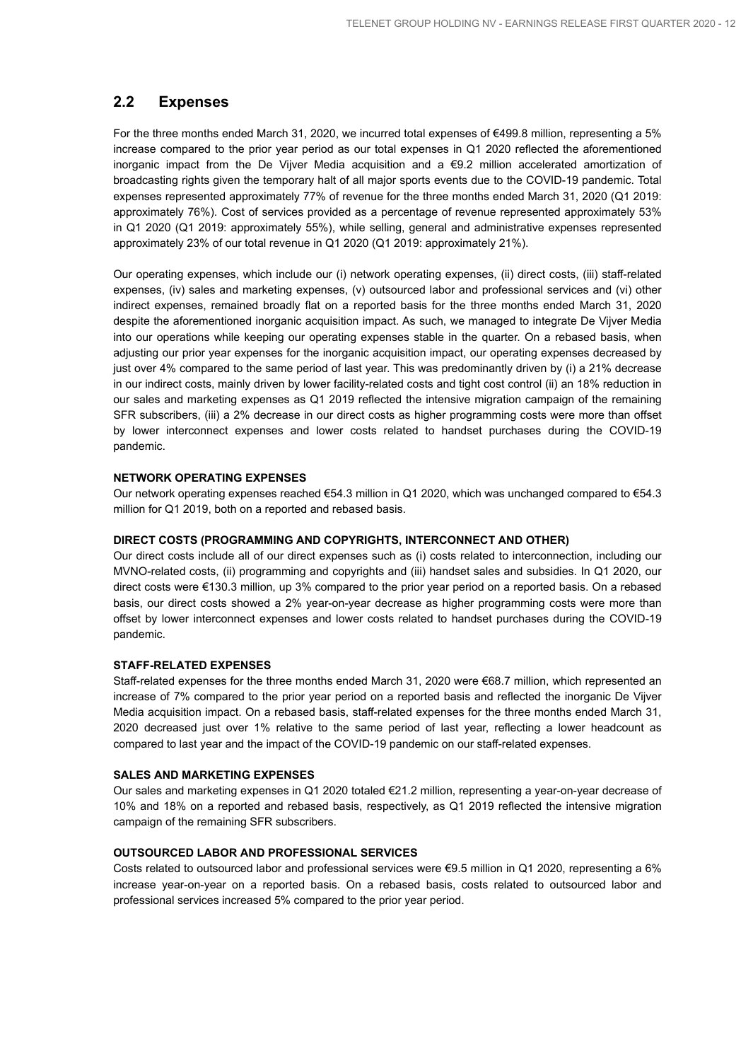### **2.2 Expenses**

For the three months ended March 31, 2020, we incurred total expenses of €499.8 million, representing a 5% increase compared to the prior year period as our total expenses in Q1 2020 reflected the aforementioned inorganic impact from the De Vijver Media acquisition and a  $\epsilon$ 9.2 million accelerated amortization of broadcasting rights given the temporary halt of all major sports events due to the COVID-19 pandemic. Total expenses represented approximately 77% of revenue for the three months ended March 31, 2020 (Q1 2019: approximately 76%). Cost of services provided as a percentage of revenue represented approximately 53% in Q1 2020 (Q1 2019: approximately 55%), while selling, general and administrative expenses represented approximately 23% of our total revenue in Q1 2020 (Q1 2019: approximately 21%).

Our operating expenses, which include our (i) network operating expenses, (ii) direct costs, (iii) staff-related expenses, (iv) sales and marketing expenses, (v) outsourced labor and professional services and (vi) other indirect expenses, remained broadly flat on a reported basis for the three months ended March 31, 2020 despite the aforementioned inorganic acquisition impact. As such, we managed to integrate De Vijver Media into our operations while keeping our operating expenses stable in the quarter. On a rebased basis, when adjusting our prior year expenses for the inorganic acquisition impact, our operating expenses decreased by just over 4% compared to the same period of last year. This was predominantly driven by (i) a 21% decrease in our indirect costs, mainly driven by lower facility-related costs and tight cost control (ii) an 18% reduction in our sales and marketing expenses as Q1 2019 reflected the intensive migration campaign of the remaining SFR subscribers, (iii) a 2% decrease in our direct costs as higher programming costs were more than offset by lower interconnect expenses and lower costs related to handset purchases during the COVID-19 pandemic.

### **NETWORK OPERATING EXPENSES**

Our network operating expenses reached €54.3 million in Q1 2020, which was unchanged compared to €54.3 million for Q1 2019, both on a reported and rebased basis.

#### **DIRECT COSTS (PROGRAMMING AND COPYRIGHTS, INTERCONNECT AND OTHER)**

Our direct costs include all of our direct expenses such as (i) costs related to interconnection, including our MVNO-related costs, (ii) programming and copyrights and (iii) handset sales and subsidies. In Q1 2020, our direct costs were €130.3 million, up 3% compared to the prior year period on a reported basis. On a rebased basis, our direct costs showed a 2% year-on-year decrease as higher programming costs were more than offset by lower interconnect expenses and lower costs related to handset purchases during the COVID-19 pandemic.

### **STAFF-RELATED EXPENSES**

Staff-related expenses for the three months ended March 31, 2020 were €68.7 million, which represented an increase of 7% compared to the prior year period on a reported basis and reflected the inorganic De Vijver Media acquisition impact. On a rebased basis, staff-related expenses for the three months ended March 31, 2020 decreased just over 1% relative to the same period of last year, reflecting a lower headcount as compared to last year and the impact of the COVID-19 pandemic on our staff-related expenses.

### **SALES AND MARKETING EXPENSES**

Our sales and marketing expenses in Q1 2020 totaled €21.2 million, representing a year-on-year decrease of 10% and 18% on a reported and rebased basis, respectively, as Q1 2019 reflected the intensive migration campaign of the remaining SFR subscribers.

### **OUTSOURCED LABOR AND PROFESSIONAL SERVICES**

Costs related to outsourced labor and professional services were €9.5 million in Q1 2020, representing a 6% increase year-on-year on a reported basis. On a rebased basis, costs related to outsourced labor and professional services increased 5% compared to the prior year period.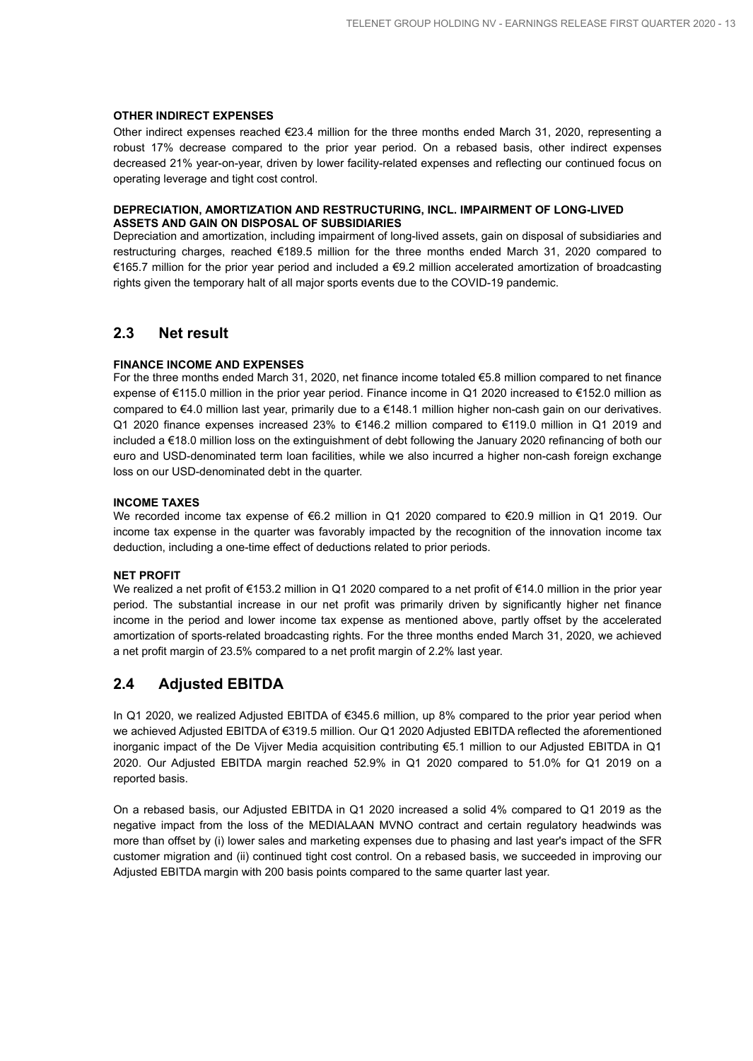#### **OTHER INDIRECT EXPENSES**

Other indirect expenses reached €23.4 million for the three months ended March 31, 2020, representing a robust 17% decrease compared to the prior year period. On a rebased basis, other indirect expenses decreased 21% year-on-year, driven by lower facility-related expenses and reflecting our continued focus on operating leverage and tight cost control.

### **DEPRECIATION, AMORTIZATION AND RESTRUCTURING, INCL. IMPAIRMENT OF LONG-LIVED ASSETS AND GAIN ON DISPOSAL OF SUBSIDIARIES**

Depreciation and amortization, including impairment of long-lived assets, gain on disposal of subsidiaries and restructuring charges, reached €189.5 million for the three months ended March 31, 2020 compared to €165.7 million for the prior year period and included a €9.2 million accelerated amortization of broadcasting rights given the temporary halt of all major sports events due to the COVID-19 pandemic.

### **2.3 Net result**

### **FINANCE INCOME AND EXPENSES**

For the three months ended March 31, 2020, net finance income totaled €5.8 million compared to net finance expense of €115.0 million in the prior year period. Finance income in Q1 2020 increased to €152.0 million as compared to €4.0 million last year, primarily due to a €148.1 million higher non-cash gain on our derivatives. Q1 2020 finance expenses increased 23% to €146.2 million compared to €119.0 million in Q1 2019 and included a €18.0 million loss on the extinguishment of debt following the January 2020 refinancing of both our euro and USD-denominated term loan facilities, while we also incurred a higher non-cash foreign exchange loss on our USD-denominated debt in the quarter.

### **INCOME TAXES**

We recorded income tax expense of €6.2 million in Q1 2020 compared to €20.9 million in Q1 2019. Our income tax expense in the quarter was favorably impacted by the recognition of the innovation income tax deduction, including a one-time effect of deductions related to prior periods.

#### **NET PROFIT**

We realized a net profit of €153.2 million in Q1 2020 compared to a net profit of €14.0 million in the prior year period. The substantial increase in our net profit was primarily driven by significantly higher net finance income in the period and lower income tax expense as mentioned above, partly offset by the accelerated amortization of sports-related broadcasting rights. For the three months ended March 31, 2020, we achieved a net profit margin of 23.5% compared to a net profit margin of 2.2% last year.

### **2.4 Adjusted EBITDA**

In Q1 2020, we realized Adjusted EBITDA of €345.6 million, up 8% compared to the prior year period when we achieved Adjusted EBITDA of €319.5 million. Our Q1 2020 Adjusted EBITDA reflected the aforementioned inorganic impact of the De Vijver Media acquisition contributing €5.1 million to our Adjusted EBITDA in Q1 2020. Our Adjusted EBITDA margin reached 52.9% in Q1 2020 compared to 51.0% for Q1 2019 on a reported basis.

On a rebased basis, our Adjusted EBITDA in Q1 2020 increased a solid 4% compared to Q1 2019 as the negative impact from the loss of the MEDIALAAN MVNO contract and certain regulatory headwinds was more than offset by (i) lower sales and marketing expenses due to phasing and last year's impact of the SFR customer migration and (ii) continued tight cost control. On a rebased basis, we succeeded in improving our Adjusted EBITDA margin with 200 basis points compared to the same quarter last year.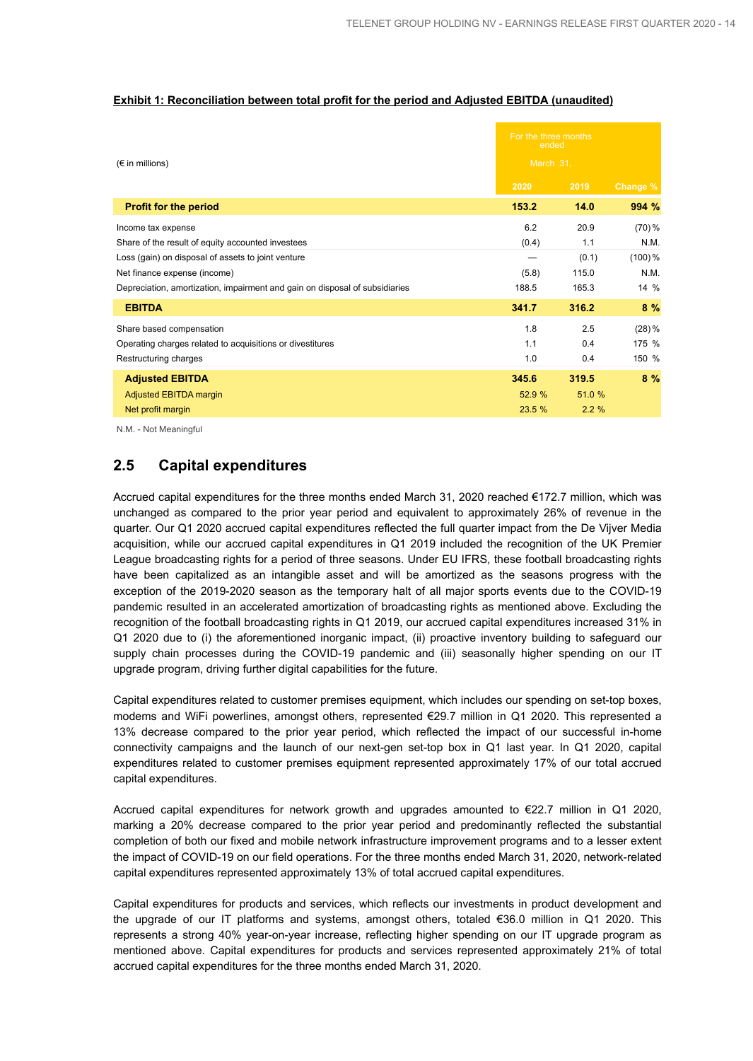### **Exhibit 1: Reconciliation between total profit for the period and Adjusted EBITDA (unaudited)**

| $(\epsilon$ in millions)                                                    |        | For the three months<br>ended<br>March 31, |           |  |
|-----------------------------------------------------------------------------|--------|--------------------------------------------|-----------|--|
|                                                                             | 2020   | 2019                                       | Change %  |  |
| <b>Profit for the period</b>                                                | 153.2  | 14.0                                       | 994 %     |  |
| Income tax expense                                                          | 6.2    | 20.9                                       | $(70) \%$ |  |
| Share of the result of equity accounted investees                           | (0.4)  | 1.1                                        | N.M.      |  |
| Loss (gain) on disposal of assets to joint venture                          |        | (0.1)                                      | $(100)\%$ |  |
| Net finance expense (income)                                                | (5.8)  | 115.0                                      | N.M.      |  |
| Depreciation, amortization, impairment and gain on disposal of subsidiaries | 188.5  | 165.3                                      | $14\%$    |  |
| <b>EBITDA</b>                                                               | 341.7  | 316.2                                      | 8%        |  |
| Share based compensation                                                    | 1.8    | 2.5                                        | $(28)\%$  |  |
| Operating charges related to acquisitions or divestitures                   | 1.1    | 0.4                                        | 175 %     |  |
| Restructuring charges                                                       | 1.0    | 0.4                                        | 150 %     |  |
| <b>Adjusted EBITDA</b>                                                      | 345.6  | 319.5                                      | 8%        |  |
| Adjusted EBITDA margin                                                      | 52.9 % | 51.0 %                                     |           |  |
| Net profit margin                                                           | 23.5 % | 2.2%                                       |           |  |

N.M. - Not Meaningful

### **2.5 Capital expenditures**

Accrued capital expenditures for the three months ended March 31, 2020 reached €172.7 million, which was unchanged as compared to the prior year period and equivalent to approximately 26% of revenue in the quarter. Our Q1 2020 accrued capital expenditures reflected the full quarter impact from the De Vijver Media acquisition, while our accrued capital expenditures in Q1 2019 included the recognition of the UK Premier League broadcasting rights for a period of three seasons. Under EU IFRS, these football broadcasting rights have been capitalized as an intangible asset and will be amortized as the seasons progress with the exception of the 2019-2020 season as the temporary halt of all major sports events due to the COVID-19 pandemic resulted in an accelerated amortization of broadcasting rights as mentioned above. Excluding the recognition of the football broadcasting rights in Q1 2019, our accrued capital expenditures increased 31% in Q1 2020 due to (i) the aforementioned inorganic impact, (ii) proactive inventory building to safeguard our supply chain processes during the COVID-19 pandemic and (iii) seasonally higher spending on our IT upgrade program, driving further digital capabilities for the future.

Capital expenditures related to customer premises equipment, which includes our spending on set-top boxes, modems and WiFi powerlines, amongst others, represented €29.7 million in Q1 2020. This represented a 13% decrease compared to the prior year period, which reflected the impact of our successful in-home connectivity campaigns and the launch of our next-gen set-top box in Q1 last year. In Q1 2020, capital expenditures related to customer premises equipment represented approximately 17% of our total accrued capital expenditures.

Accrued capital expenditures for network growth and upgrades amounted to €22.7 million in Q1 2020, marking a 20% decrease compared to the prior year period and predominantly reflected the substantial completion of both our fixed and mobile network infrastructure improvement programs and to a lesser extent the impact of COVID-19 on our field operations. For the three months ended March 31, 2020, network-related capital expenditures represented approximately 13% of total accrued capital expenditures.

Capital expenditures for products and services, which reflects our investments in product development and the upgrade of our IT platforms and systems, amongst others, totaled €36.0 million in Q1 2020. This represents a strong 40% year-on-year increase, reflecting higher spending on our IT upgrade program as mentioned above. Capital expenditures for products and services represented approximately 21% of total accrued capital expenditures for the three months ended March 31, 2020.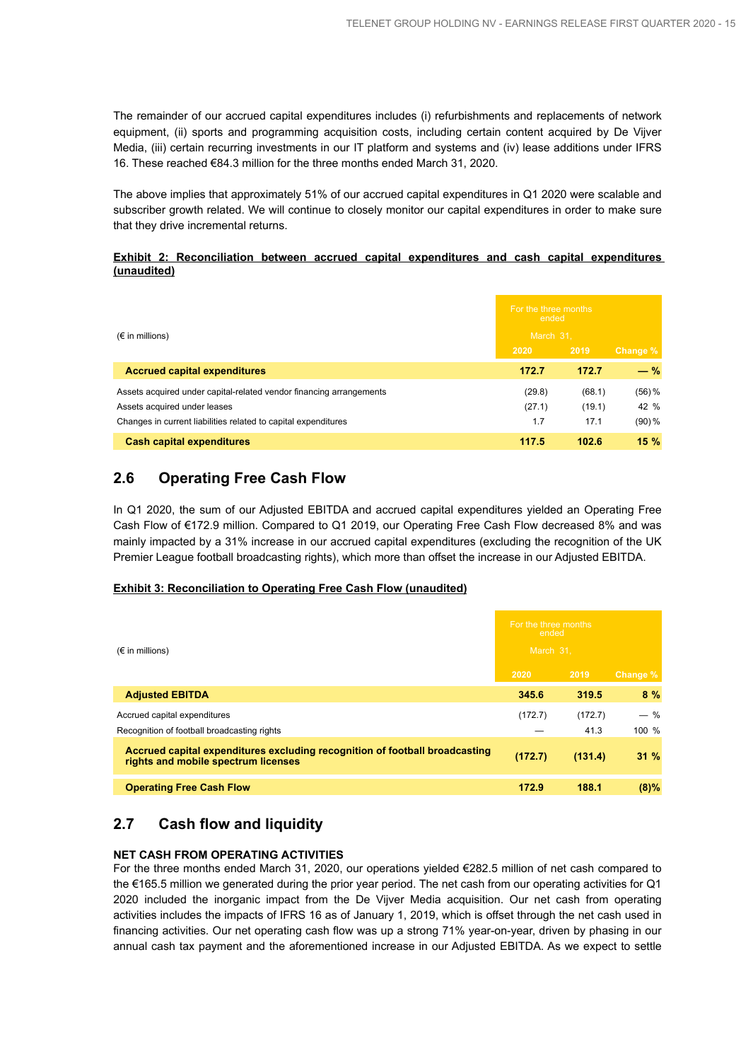The remainder of our accrued capital expenditures includes (i) refurbishments and replacements of network equipment, (ii) sports and programming acquisition costs, including certain content acquired by De Vijver Media, (iii) certain recurring investments in our IT platform and systems and (iv) lease additions under IFRS 16. These reached €84.3 million for the three months ended March 31, 2020.

The above implies that approximately 51% of our accrued capital expenditures in Q1 2020 were scalable and subscriber growth related. We will continue to closely monitor our capital expenditures in order to make sure that they drive incremental returns.

### **Exhibit 2: Reconciliation between accrued capital expenditures and cash capital expenditures (unaudited)**

| $(\epsilon$ in millions)                                            |        | For the three months<br>ended<br>March 31. |           |  |
|---------------------------------------------------------------------|--------|--------------------------------------------|-----------|--|
|                                                                     | 2020   | 2019                                       | Change %  |  |
| <b>Accrued capital expenditures</b>                                 | 172.7  | 172.7                                      | $-$ %     |  |
| Assets acquired under capital-related vendor financing arrangements | (29.8) | (68.1)                                     | $(56) \%$ |  |
| Assets acquired under leases                                        | (27.1) | (19.1)                                     | 42 %      |  |
| Changes in current liabilities related to capital expenditures      | 1.7    | 17.1                                       | $(90) \%$ |  |
| <b>Cash capital expenditures</b>                                    | 117.5  | 102.6                                      | 15%       |  |

### **2.6 Operating Free Cash Flow**

In Q1 2020, the sum of our Adjusted EBITDA and accrued capital expenditures yielded an Operating Free Cash Flow of €172.9 million. Compared to Q1 2019, our Operating Free Cash Flow decreased 8% and was mainly impacted by a 31% increase in our accrued capital expenditures (excluding the recognition of the UK Premier League football broadcasting rights), which more than offset the increase in our Adjusted EBITDA.

### **Exhibit 3: Reconciliation to Operating Free Cash Flow (unaudited)**

| $(\epsilon$ in millions)                                                                                           |         | For the three months<br>ended<br>March 31. |          |  |  |
|--------------------------------------------------------------------------------------------------------------------|---------|--------------------------------------------|----------|--|--|
|                                                                                                                    | 2020    | 2019                                       | Change % |  |  |
| <b>Adjusted EBITDA</b>                                                                                             | 345.6   | 319.5                                      | $8\%$    |  |  |
| Accrued capital expenditures                                                                                       | (172.7) | (172.7)                                    | $-$ %    |  |  |
| Recognition of football broadcasting rights                                                                        |         | 41.3                                       | 100 %    |  |  |
| Accrued capital expenditures excluding recognition of football broadcasting<br>rights and mobile spectrum licenses | (172.7) | (131.4)                                    | 31%      |  |  |
| <b>Operating Free Cash Flow</b>                                                                                    | 172.9   | 188.1                                      | $(8)\%$  |  |  |

### **2.7 Cash flow and liquidity**

### **NET CASH FROM OPERATING ACTIVITIES**

For the three months ended March 31, 2020, our operations yielded €282.5 million of net cash compared to the €165.5 million we generated during the prior year period. The net cash from our operating activities for Q1 2020 included the inorganic impact from the De Vijver Media acquisition. Our net cash from operating activities includes the impacts of IFRS 16 as of January 1, 2019, which is offset through the net cash used in financing activities. Our net operating cash flow was up a strong 71% year-on-year, driven by phasing in our annual cash tax payment and the aforementioned increase in our Adjusted EBITDA. As we expect to settle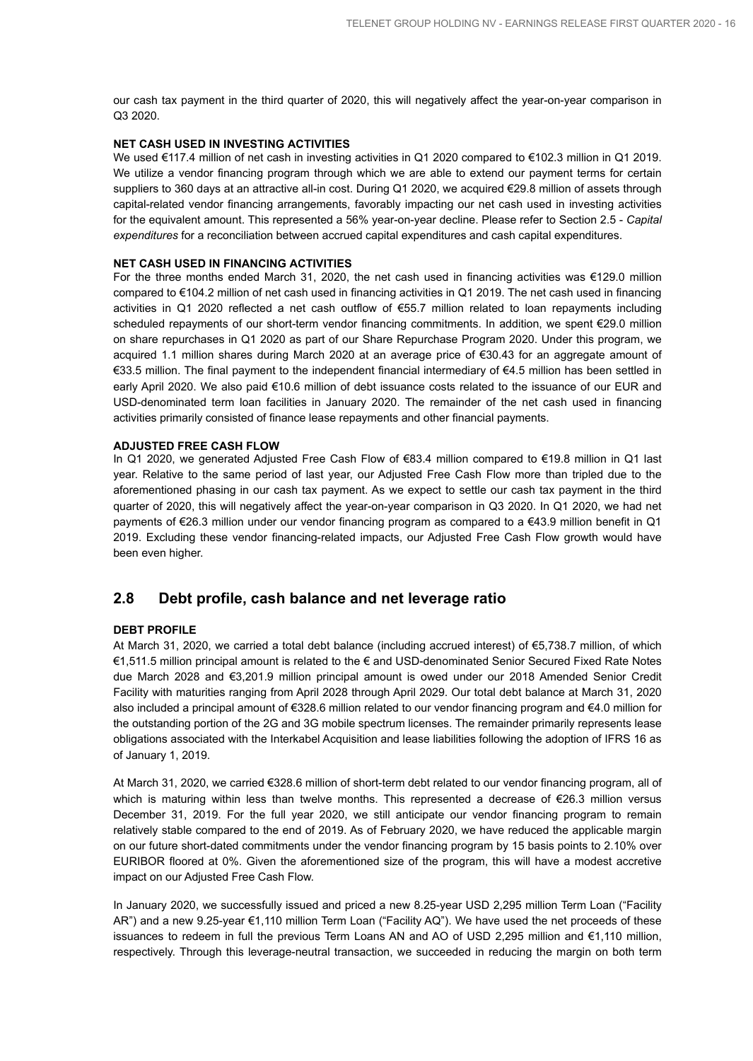our cash tax payment in the third quarter of 2020, this will negatively affect the year-on-year comparison in Q3 2020.

### **NET CASH USED IN INVESTING ACTIVITIES**

We used €117.4 million of net cash in investing activities in Q1 2020 compared to €102.3 million in Q1 2019. We utilize a vendor financing program through which we are able to extend our payment terms for certain suppliers to 360 days at an attractive all-in cost. During Q1 2020, we acquired €29.8 million of assets through capital-related vendor financing arrangements, favorably impacting our net cash used in investing activities for the equivalent amount. This represented a 56% year-on-year decline. Please refer to Section 2.5 - *Capital expenditures* for a reconciliation between accrued capital expenditures and cash capital expenditures.

### **NET CASH USED IN FINANCING ACTIVITIES**

For the three months ended March 31, 2020, the net cash used in financing activities was €129.0 million compared to €104.2 million of net cash used in financing activities in Q1 2019. The net cash used in financing activities in Q1 2020 reflected a net cash outflow of €55.7 million related to loan repayments including scheduled repayments of our short-term vendor financing commitments. In addition, we spent €29.0 million on share repurchases in Q1 2020 as part of our Share Repurchase Program 2020. Under this program, we acquired 1.1 million shares during March 2020 at an average price of €30.43 for an aggregate amount of €33.5 million. The final payment to the independent financial intermediary of €4.5 million has been settled in early April 2020. We also paid €10.6 million of debt issuance costs related to the issuance of our EUR and USD-denominated term loan facilities in January 2020. The remainder of the net cash used in financing activities primarily consisted of finance lease repayments and other financial payments.

### **ADJUSTED FREE CASH FLOW**

In Q1 2020, we generated Adjusted Free Cash Flow of €83.4 million compared to €19.8 million in Q1 last year. Relative to the same period of last year, our Adjusted Free Cash Flow more than tripled due to the aforementioned phasing in our cash tax payment. As we expect to settle our cash tax payment in the third quarter of 2020, this will negatively affect the year-on-year comparison in Q3 2020. In Q1 2020, we had net payments of €26.3 million under our vendor financing program as compared to a €43.9 million benefit in Q1 2019. Excluding these vendor financing-related impacts, our Adjusted Free Cash Flow growth would have been even higher.

### **2.8 Debt profile, cash balance and net leverage ratio**

### **DEBT PROFILE**

At March 31, 2020, we carried a total debt balance (including accrued interest) of €5,738.7 million, of which €1,511.5 million principal amount is related to the € and USD-denominated Senior Secured Fixed Rate Notes due March 2028 and €3,201.9 million principal amount is owed under our 2018 Amended Senior Credit Facility with maturities ranging from April 2028 through April 2029. Our total debt balance at March 31, 2020 also included a principal amount of €328.6 million related to our vendor financing program and €4.0 million for the outstanding portion of the 2G and 3G mobile spectrum licenses. The remainder primarily represents lease obligations associated with the Interkabel Acquisition and lease liabilities following the adoption of IFRS 16 as of January 1, 2019.

At March 31, 2020, we carried €328.6 million of short-term debt related to our vendor financing program, all of which is maturing within less than twelve months. This represented a decrease of €26.3 million versus December 31, 2019. For the full year 2020, we still anticipate our vendor financing program to remain relatively stable compared to the end of 2019. As of February 2020, we have reduced the applicable margin on our future short-dated commitments under the vendor financing program by 15 basis points to 2.10% over EURIBOR floored at 0%. Given the aforementioned size of the program, this will have a modest accretive impact on our Adjusted Free Cash Flow.

In January 2020, we successfully issued and priced a new 8.25-year USD 2,295 million Term Loan ("Facility AR") and a new 9.25-year €1,110 million Term Loan ("Facility AQ"). We have used the net proceeds of these issuances to redeem in full the previous Term Loans AN and AO of USD 2,295 million and €1,110 million, respectively. Through this leverage-neutral transaction, we succeeded in reducing the margin on both term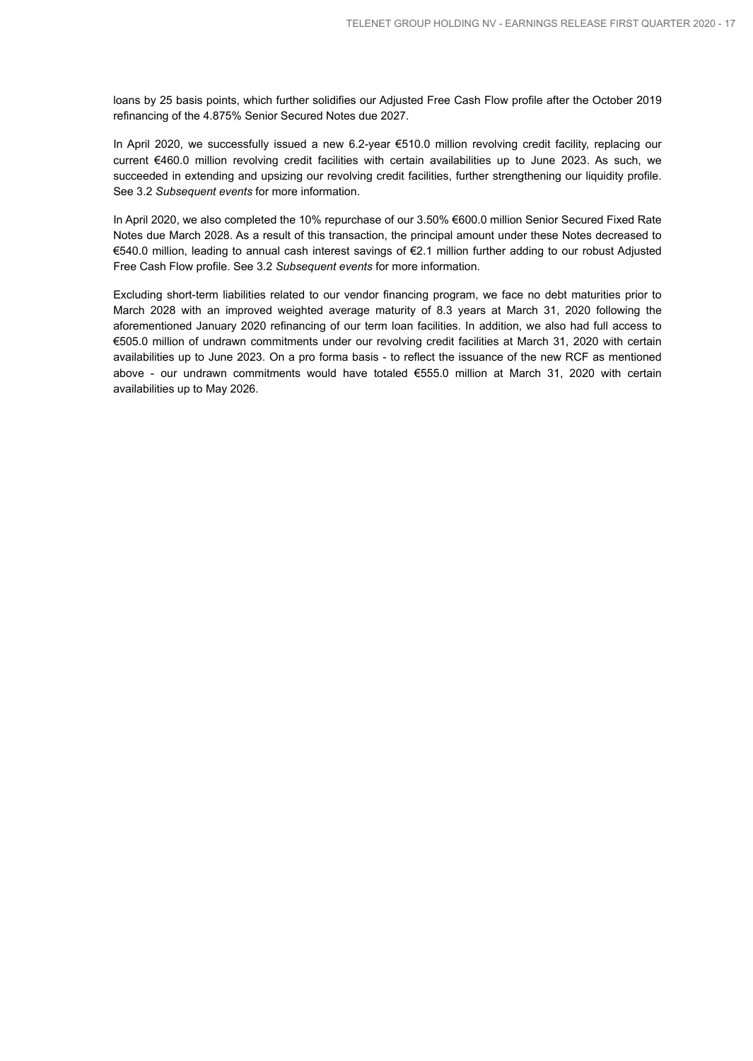loans by 25 basis points, which further solidifies our Adjusted Free Cash Flow profile after the October 2019 refinancing of the 4.875% Senior Secured Notes due 2027.

In April 2020, we successfully issued a new 6.2-year €510.0 million revolving credit facility, replacing our current €460.0 million revolving credit facilities with certain availabilities up to June 2023. As such, we succeeded in extending and upsizing our revolving credit facilities, further strengthening our liquidity profile. See 3.2 *Subsequent events* for more information.

In April 2020, we also completed the 10% repurchase of our 3.50% €600.0 million Senior Secured Fixed Rate Notes due March 2028. As a result of this transaction, the principal amount under these Notes decreased to €540.0 million, leading to annual cash interest savings of €2.1 million further adding to our robust Adjusted Free Cash Flow profile. See 3.2 *Subsequent events* for more information.

Excluding short-term liabilities related to our vendor financing program, we face no debt maturities prior to March 2028 with an improved weighted average maturity of 8.3 years at March 31, 2020 following the aforementioned January 2020 refinancing of our term loan facilities. In addition, we also had full access to €505.0 million of undrawn commitments under our revolving credit facilities at March 31, 2020 with certain availabilities up to June 2023. On a pro forma basis - to reflect the issuance of the new RCF as mentioned above - our undrawn commitments would have totaled €555.0 million at March 31, 2020 with certain availabilities up to May 2026.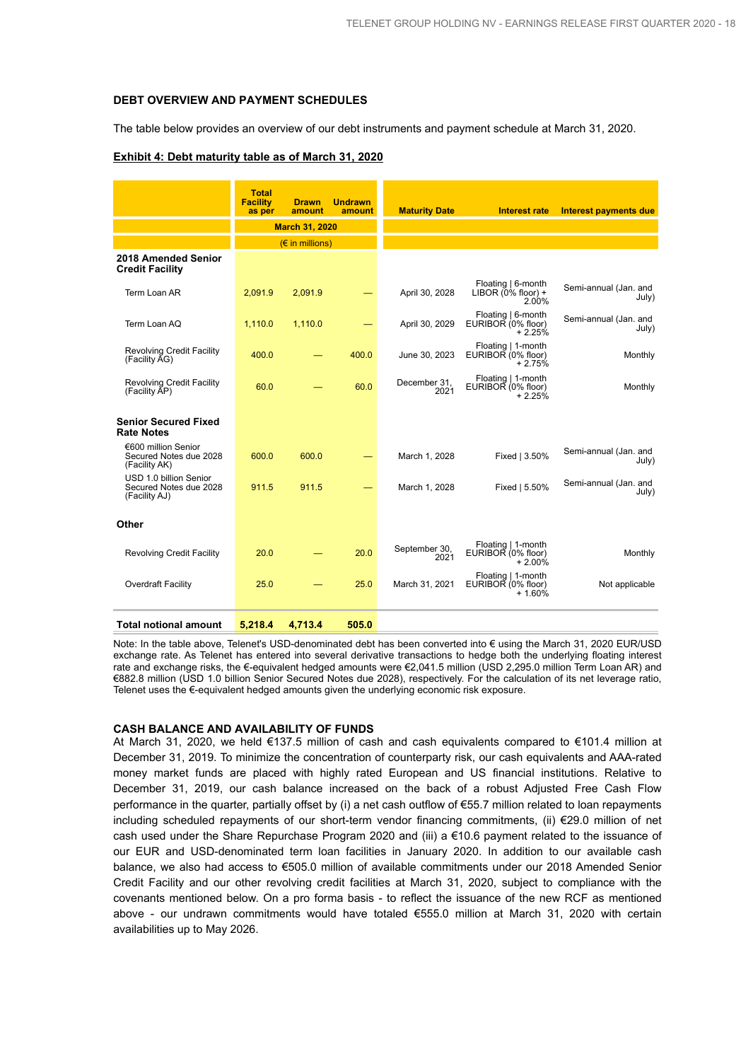#### **DEBT OVERVIEW AND PAYMENT SCHEDULES**

The table below provides an overview of our debt instruments and payment schedule at March 31, 2020.

|                                                                   | <b>Total</b><br><b>Facility</b> | <b>Drawn</b>                   | <b>Undrawn</b> |                       |                                                       |                                |
|-------------------------------------------------------------------|---------------------------------|--------------------------------|----------------|-----------------------|-------------------------------------------------------|--------------------------------|
|                                                                   | as per                          | amount                         | amount         | <b>Maturity Date</b>  | <b>Interest rate</b>                                  | <b>Interest payments due</b>   |
|                                                                   |                                 | <b>March 31, 2020</b>          |                |                       |                                                       |                                |
|                                                                   |                                 | $(E \in \mathbb{R})$ millions) |                |                       |                                                       |                                |
| 2018 Amended Senior<br><b>Credit Facility</b>                     |                                 |                                |                |                       |                                                       |                                |
| Term Loan AR                                                      | 2,091.9                         | 2,091.9                        |                | April 30, 2028        | Floating   6-month<br>LIBOR $(0\%$ floor) +<br>2.00%  | Semi-annual (Jan. and<br>July) |
| Term Loan AQ                                                      | 1,110.0                         | 1,110.0                        |                | April 30, 2029        | Floating   6-month<br>EURIBOR (0% floor)<br>$+2.25%$  | Semi-annual (Jan. and<br>July) |
| <b>Revolving Credit Facility</b><br>(Facility AG)                 | 400.0                           |                                | 400.0          | June 30, 2023         | Floating   1-month<br>EURIBOR (0% floor)<br>$+2.75%$  | Monthly                        |
| <b>Revolving Credit Facility</b><br>(Facility AP)                 | 60.0                            |                                | 60.0           | December 31,<br>2021  | Floating   1-month<br>EURIBOR (0% floor)<br>$+2.25%$  | Monthly                        |
| <b>Senior Secured Fixed</b><br><b>Rate Notes</b>                  |                                 |                                |                |                       |                                                       |                                |
| €600 million Senior<br>Secured Notes due 2028<br>(Facility AK)    | 600.0                           | 600.0                          |                | March 1, 2028         | Fixed   3.50%                                         | Semi-annual (Jan. and<br>July) |
| USD 1.0 billion Senior<br>Secured Notes due 2028<br>(Facility AJ) | 911.5                           | 911.5                          |                | March 1, 2028         | Fixed   5.50%                                         | Semi-annual (Jan. and<br>July) |
| Other                                                             |                                 |                                |                |                       |                                                       |                                |
| <b>Revolving Credit Facility</b>                                  | 20.0                            |                                | 20.0           | September 30,<br>2021 | Floating   1-month<br>EURIBOR (0% floor)<br>$+2.00\%$ | Monthly                        |
| <b>Overdraft Facility</b>                                         | 25.0                            |                                | 25.0           | March 31, 2021        | Floating   1-month<br>EURIBOR (0% floor)<br>$+1.60%$  | Not applicable                 |
| <b>Total notional amount</b>                                      | 5,218.4                         | 4,713.4                        | 505.0          |                       |                                                       |                                |

### **Exhibit 4: Debt maturity table as of March 31, 2020**

Note: In the table above, Telenet's USD-denominated debt has been converted into € using the March 31, 2020 EUR/USD exchange rate. As Telenet has entered into several derivative transactions to hedge both the underlying floating interest rate and exchange risks, the €-equivalent hedged amounts were €2,041.5 million (USD 2,295.0 million Term Loan AR) and €882.8 million (USD 1.0 billion Senior Secured Notes due 2028), respectively. For the calculation of its net leverage ratio, Telenet uses the €-equivalent hedged amounts given the underlying economic risk exposure.

#### **CASH BALANCE AND AVAILABILITY OF FUNDS**

At March 31, 2020, we held €137.5 million of cash and cash equivalents compared to €101.4 million at December 31, 2019. To minimize the concentration of counterparty risk, our cash equivalents and AAA-rated money market funds are placed with highly rated European and US financial institutions. Relative to December 31, 2019, our cash balance increased on the back of a robust Adjusted Free Cash Flow performance in the quarter, partially offset by (i) a net cash outflow of €55.7 million related to loan repayments including scheduled repayments of our short-term vendor financing commitments, (ii) €29.0 million of net cash used under the Share Repurchase Program 2020 and (iii) a €10.6 payment related to the issuance of our EUR and USD-denominated term loan facilities in January 2020. In addition to our available cash balance, we also had access to €505.0 million of available commitments under our 2018 Amended Senior Credit Facility and our other revolving credit facilities at March 31, 2020, subject to compliance with the covenants mentioned below. On a pro forma basis - to reflect the issuance of the new RCF as mentioned above - our undrawn commitments would have totaled €555.0 million at March 31, 2020 with certain availabilities up to May 2026.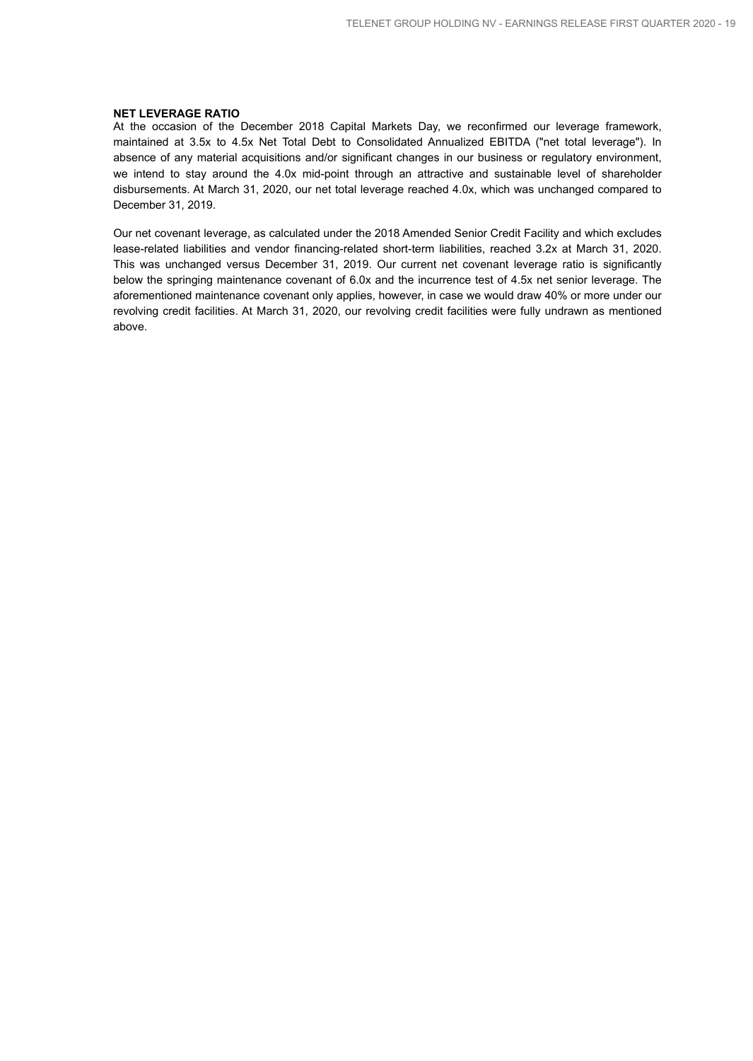#### **NET LEVERAGE RATIO**

At the occasion of the December 2018 Capital Markets Day, we reconfirmed our leverage framework, maintained at 3.5x to 4.5x Net Total Debt to Consolidated Annualized EBITDA ("net total leverage"). In absence of any material acquisitions and/or significant changes in our business or regulatory environment, we intend to stay around the 4.0x mid-point through an attractive and sustainable level of shareholder disbursements. At March 31, 2020, our net total leverage reached 4.0x, which was unchanged compared to December 31, 2019.

Our net covenant leverage, as calculated under the 2018 Amended Senior Credit Facility and which excludes lease-related liabilities and vendor financing-related short-term liabilities, reached 3.2x at March 31, 2020. This was unchanged versus December 31, 2019. Our current net covenant leverage ratio is significantly below the springing maintenance covenant of 6.0x and the incurrence test of 4.5x net senior leverage. The aforementioned maintenance covenant only applies, however, in case we would draw 40% or more under our revolving credit facilities. At March 31, 2020, our revolving credit facilities were fully undrawn as mentioned above.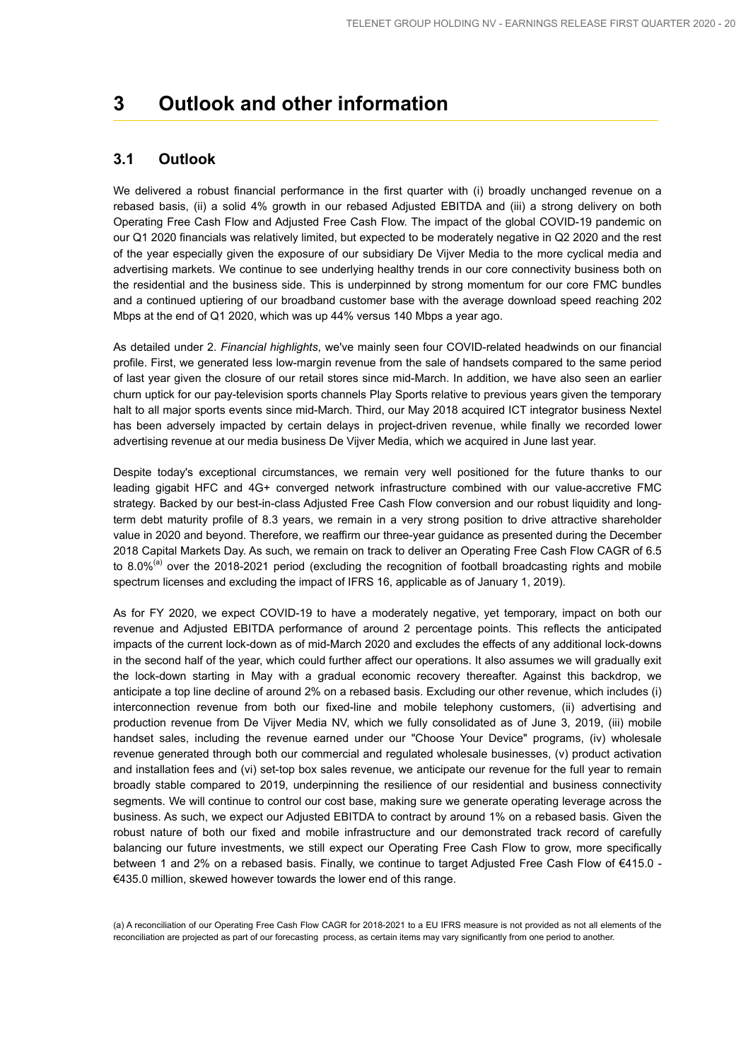## **3 Outlook and other information**

### **3.1 Outlook**

We delivered a robust financial performance in the first quarter with (i) broadly unchanged revenue on a rebased basis, (ii) a solid 4% growth in our rebased Adjusted EBITDA and (iii) a strong delivery on both Operating Free Cash Flow and Adjusted Free Cash Flow. The impact of the global COVID-19 pandemic on our Q1 2020 financials was relatively limited, but expected to be moderately negative in Q2 2020 and the rest of the year especially given the exposure of our subsidiary De Vijver Media to the more cyclical media and advertising markets. We continue to see underlying healthy trends in our core connectivity business both on the residential and the business side. This is underpinned by strong momentum for our core FMC bundles and a continued uptiering of our broadband customer base with the average download speed reaching 202 Mbps at the end of Q1 2020, which was up 44% versus 140 Mbps a year ago.

As detailed under 2. *Financial highlights*, we've mainly seen four COVID-related headwinds on our financial profile. First, we generated less low-margin revenue from the sale of handsets compared to the same period of last year given the closure of our retail stores since mid-March. In addition, we have also seen an earlier churn uptick for our pay-television sports channels Play Sports relative to previous years given the temporary halt to all major sports events since mid-March. Third, our May 2018 acquired ICT integrator business Nextel has been adversely impacted by certain delays in project-driven revenue, while finally we recorded lower advertising revenue at our media business De Vijver Media, which we acquired in June last year.

Despite today's exceptional circumstances, we remain very well positioned for the future thanks to our leading gigabit HFC and 4G+ converged network infrastructure combined with our value-accretive FMC strategy. Backed by our best-in-class Adjusted Free Cash Flow conversion and our robust liquidity and longterm debt maturity profile of 8.3 years, we remain in a very strong position to drive attractive shareholder value in 2020 and beyond. Therefore, we reaffirm our three-year guidance as presented during the December 2018 Capital Markets Day. As such, we remain on track to deliver an Operating Free Cash Flow CAGR of 6.5 to 8.0%<sup>(a)</sup> over the 2018-2021 period (excluding the recognition of football broadcasting rights and mobile spectrum licenses and excluding the impact of IFRS 16, applicable as of January 1, 2019).

As for FY 2020, we expect COVID-19 to have a moderately negative, yet temporary, impact on both our revenue and Adjusted EBITDA performance of around 2 percentage points. This reflects the anticipated impacts of the current lock-down as of mid-March 2020 and excludes the effects of any additional lock-downs in the second half of the year, which could further affect our operations. It also assumes we will gradually exit the lock-down starting in May with a gradual economic recovery thereafter. Against this backdrop, we anticipate a top line decline of around 2% on a rebased basis. Excluding our other revenue, which includes (i) interconnection revenue from both our fixed-line and mobile telephony customers, (ii) advertising and production revenue from De Vijver Media NV, which we fully consolidated as of June 3, 2019, (iii) mobile handset sales, including the revenue earned under our "Choose Your Device" programs, (iv) wholesale revenue generated through both our commercial and regulated wholesale businesses, (v) product activation and installation fees and (vi) set-top box sales revenue, we anticipate our revenue for the full year to remain broadly stable compared to 2019, underpinning the resilience of our residential and business connectivity segments. We will continue to control our cost base, making sure we generate operating leverage across the business. As such, we expect our Adjusted EBITDA to contract by around 1% on a rebased basis. Given the robust nature of both our fixed and mobile infrastructure and our demonstrated track record of carefully balancing our future investments, we still expect our Operating Free Cash Flow to grow, more specifically between 1 and 2% on a rebased basis. Finally, we continue to target Adjusted Free Cash Flow of €415.0 - €435.0 million, skewed however towards the lower end of this range.

(a) A reconciliation of our Operating Free Cash Flow CAGR for 2018-2021 to a EU IFRS measure is not provided as not all elements of the reconciliation are projected as part of our forecasting process, as certain items may vary significantly from one period to another.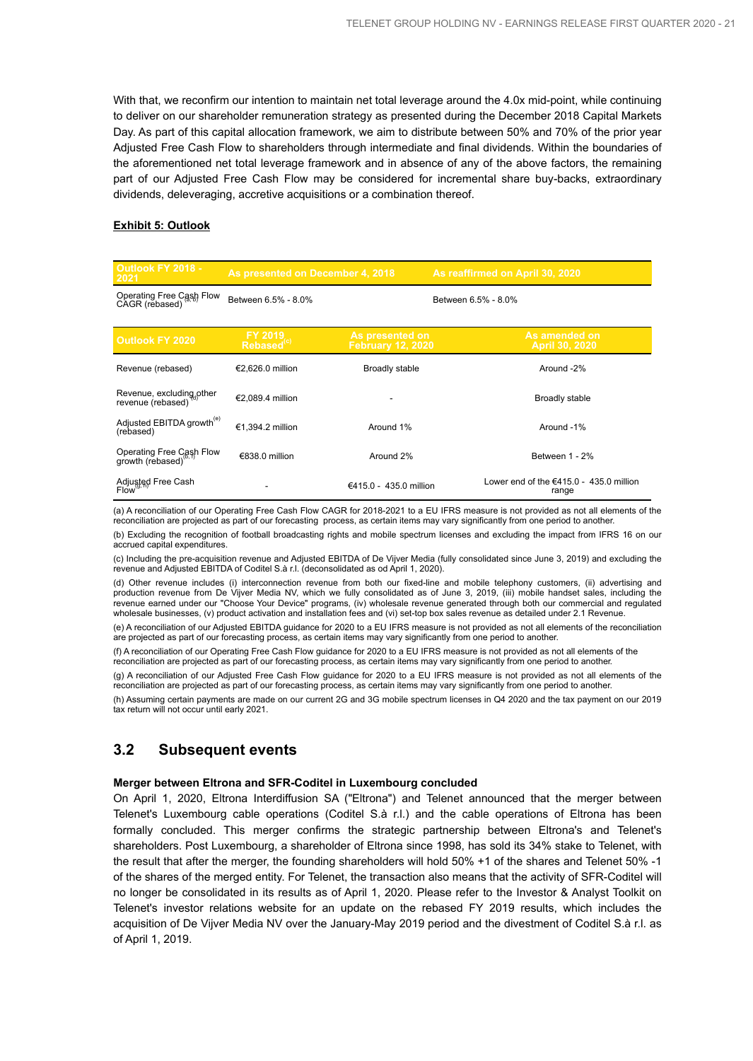With that, we reconfirm our intention to maintain net total leverage around the 4.0x mid-point, while continuing to deliver on our shareholder remuneration strategy as presented during the December 2018 Capital Markets Day. As part of this capital allocation framework, we aim to distribute between 50% and 70% of the prior year Adjusted Free Cash Flow to shareholders through intermediate and final dividends. Within the boundaries of the aforementioned net total leverage framework and in absence of any of the above factors, the remaining part of our Adjusted Free Cash Flow may be considered for incremental share buy-backs, extraordinary dividends, deleveraging, accretive acquisitions or a combination thereof.

#### **Exhibit 5: Outlook**

| <b>Outlook FY 2018 -</b><br>2021                   | As presented on December 4, 2018   |                                             | As reaffirmed on April 30, 2020                    |
|----------------------------------------------------|------------------------------------|---------------------------------------------|----------------------------------------------------|
| Operating Free Cash Flow<br>CAGR (rebased)         | Between 6.5% - 8.0%                |                                             | Between 6.5% - 8.0%                                |
| <b>Outlook FY 2020</b>                             | FY 2019.<br>Rebased <sup>(c)</sup> | As presented on<br><b>February 12, 2020</b> | As amended on<br>April 30, 2020                    |
| Revenue (rebased)                                  | €2,626.0 million                   | <b>Broadly stable</b>                       | Around -2%                                         |
| Revenue, excluding other<br>revenue (rebased)      | €2.089.4 million                   |                                             | Broadly stable                                     |
| Adjusted EBITDA growth <sup>(e)</sup><br>(rebased) | €1.394.2 million                   | Around 1%                                   | Around -1%                                         |
| Operating Free Cash Flow<br>growth (rebased)       | €838.0 million                     | Around 2%                                   | Between 1 - 2%                                     |
| Adjusted Free Cash<br>Flow <sup>(9, h)</sup>       |                                    | €415.0 - 435.0 million                      | Lower end of the $€415.0 - 435.0$ million<br>range |

(a) A reconciliation of our Operating Free Cash Flow CAGR for 2018-2021 to a EU IFRS measure is not provided as not all elements of the reconciliation are projected as part of our forecasting process, as certain items may vary significantly from one period to another.

(b) Excluding the recognition of football broadcasting rights and mobile spectrum licenses and excluding the impact from IFRS 16 on our accrued capital expenditures.

(c) Including the pre-acquisition revenue and Adjusted EBITDA of De Vijver Media (fully consolidated since June 3, 2019) and excluding the revenue and Adjusted EBITDA of Coditel S.à r.l. (deconsolidated as od April 1, 2020).

(d) Other revenue includes (i) interconnection revenue from both our fixed-line and mobile telephony customers, (ii) advertising and production revenue from De Vijver Media NV, which we fully consolidated as of June 3, 2019, (iii) mobile handset sales, including the revenue earned under our "Choose Your Device" programs, (iv) wholesale revenue generated through both our commercial and regulated wholesale businesses, (v) product activation and installation fees and (vi) set-top box sales revenue as detailed under 2.1 Revenue.

(e) A reconciliation of our Adjusted EBITDA guidance for 2020 to a EU IFRS measure is not provided as not all elements of the reconciliation are projected as part of our forecasting process, as certain items may vary significantly from one period to another

(f) A reconciliation of our Operating Free Cash Flow guidance for 2020 to a EU IFRS measure is not provided as not all elements of the reconciliation are projected as part of our forecasting process, as certain items may vary significantly from one period to another.

(g) A reconciliation of our Adjusted Free Cash Flow guidance for 2020 to a EU IFRS measure is not provided as not all elements of the reconciliation are projected as part of our forecasting process, as certain items may vary significantly from one period to another.

(h) Assuming certain payments are made on our current 2G and 3G mobile spectrum licenses in Q4 2020 and the tax payment on our 2019 tax return will not occur until early 2021.

### **3.2 Subsequent events**

### **Merger between Eltrona and SFR-Coditel in Luxembourg concluded**

On April 1, 2020, Eltrona Interdiffusion SA ("Eltrona") and Telenet announced that the merger between Telenet's Luxembourg cable operations (Coditel S.à r.l.) and the cable operations of Eltrona has been formally concluded. This merger confirms the strategic partnership between Eltrona's and Telenet's shareholders. Post Luxembourg, a shareholder of Eltrona since 1998, has sold its 34% stake to Telenet, with the result that after the merger, the founding shareholders will hold 50% +1 of the shares and Telenet 50% -1 of the shares of the merged entity. For Telenet, the transaction also means that the activity of SFR-Coditel will no longer be consolidated in its results as of April 1, 2020. Please refer to the Investor & Analyst Toolkit on Telenet's investor relations website for an update on the rebased FY 2019 results, which includes the acquisition of De Vijver Media NV over the January-May 2019 period and the divestment of Coditel S.à r.l. as of April 1, 2019.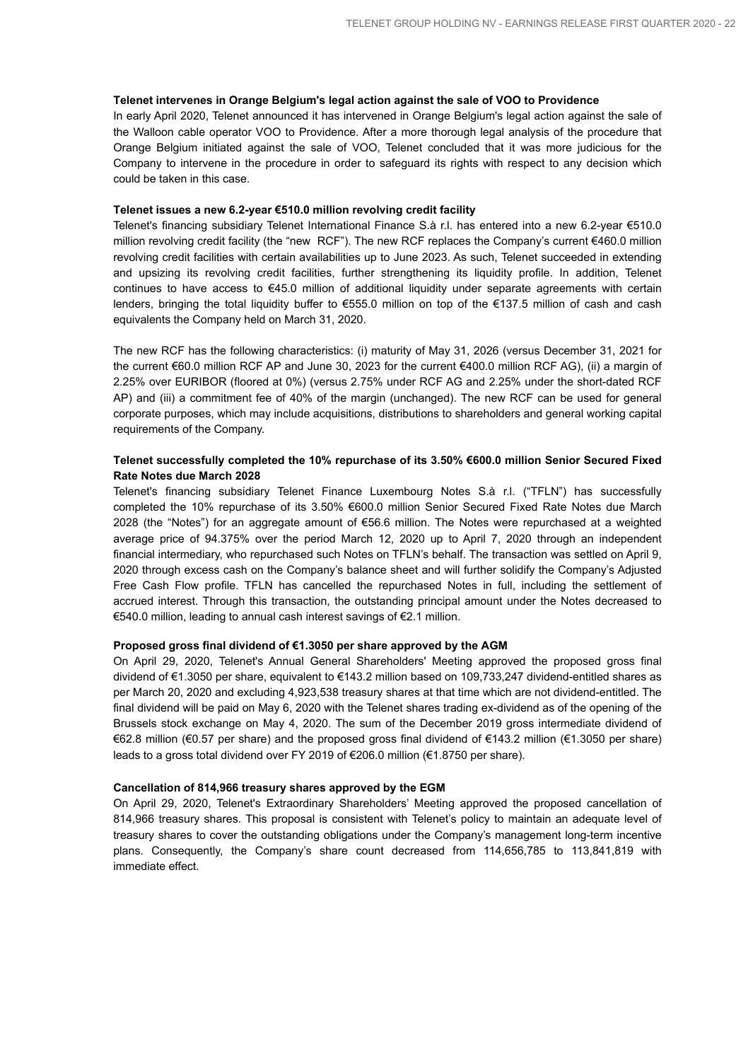#### **Telenet intervenes in Orange Belgium's legal action against the sale of VOO to Providence**

In early April 2020, Telenet announced it has intervened in Orange Belgium's legal action against the sale of the Walloon cable operator VOO to Providence. After a more thorough legal analysis of the procedure that Orange Belgium initiated against the sale of VOO, Telenet concluded that it was more judicious for the Company to intervene in the procedure in order to safeguard its rights with respect to any decision which could be taken in this case.

#### **Telenet issues a new 6.2-year €510.0 million revolving credit facility**

Telenet's financing subsidiary Telenet International Finance S.à r.l. has entered into a new 6.2-year €510.0 million revolving credit facility (the "new RCF"). The new RCF replaces the Company's current €460.0 million revolving credit facilities with certain availabilities up to June 2023. As such, Telenet succeeded in extending and upsizing its revolving credit facilities, further strengthening its liquidity profile. In addition, Telenet continues to have access to €45.0 million of additional liquidity under separate agreements with certain lenders, bringing the total liquidity buffer to €555.0 million on top of the €137.5 million of cash and cash equivalents the Company held on March 31, 2020.

The new RCF has the following characteristics: (i) maturity of May 31, 2026 (versus December 31, 2021 for the current €60.0 million RCF AP and June 30, 2023 for the current €400.0 million RCF AG), (ii) a margin of 2.25% over EURIBOR (floored at 0%) (versus 2.75% under RCF AG and 2.25% under the short-dated RCF AP) and (iii) a commitment fee of 40% of the margin (unchanged). The new RCF can be used for general corporate purposes, which may include acquisitions, distributions to shareholders and general working capital requirements of the Company.

### **Telenet successfully completed the 10% repurchase of its 3.50% €600.0 million Senior Secured Fixed Rate Notes due March 2028**

Telenet's financing subsidiary Telenet Finance Luxembourg Notes S.à r.l. ("TFLN") has successfully completed the 10% repurchase of its 3.50% €600.0 million Senior Secured Fixed Rate Notes due March 2028 (the "Notes") for an aggregate amount of €56.6 million. The Notes were repurchased at a weighted average price of 94.375% over the period March 12, 2020 up to April 7, 2020 through an independent financial intermediary, who repurchased such Notes on TFLN's behalf. The transaction was settled on April 9, 2020 through excess cash on the Company's balance sheet and will further solidify the Company's Adjusted Free Cash Flow profile. TFLN has cancelled the repurchased Notes in full, including the settlement of accrued interest. Through this transaction, the outstanding principal amount under the Notes decreased to €540.0 million, leading to annual cash interest savings of €2.1 million.

### **Proposed gross final dividend of €1.3050 per share approved by the AGM**

On April 29, 2020, Telenet's Annual General Shareholders' Meeting approved the proposed gross final dividend of €1.3050 per share, equivalent to €143.2 million based on 109,733,247 dividend-entitled shares as per March 20, 2020 and excluding 4,923,538 treasury shares at that time which are not dividend-entitled. The final dividend will be paid on May 6, 2020 with the Telenet shares trading ex-dividend as of the opening of the Brussels stock exchange on May 4, 2020. The sum of the December 2019 gross intermediate dividend of €62.8 million (€0.57 per share) and the proposed gross final dividend of €143.2 million (€1.3050 per share) leads to a gross total dividend over FY 2019 of €206.0 million (€1.8750 per share).

#### **Cancellation of 814,966 treasury shares approved by the EGM**

On April 29, 2020, Telenet's Extraordinary Shareholders' Meeting approved the proposed cancellation of 814,966 treasury shares. This proposal is consistent with Telenet's policy to maintain an adequate level of treasury shares to cover the outstanding obligations under the Company's management long-term incentive plans. Consequently, the Company's share count decreased from 114,656,785 to 113,841,819 with immediate effect.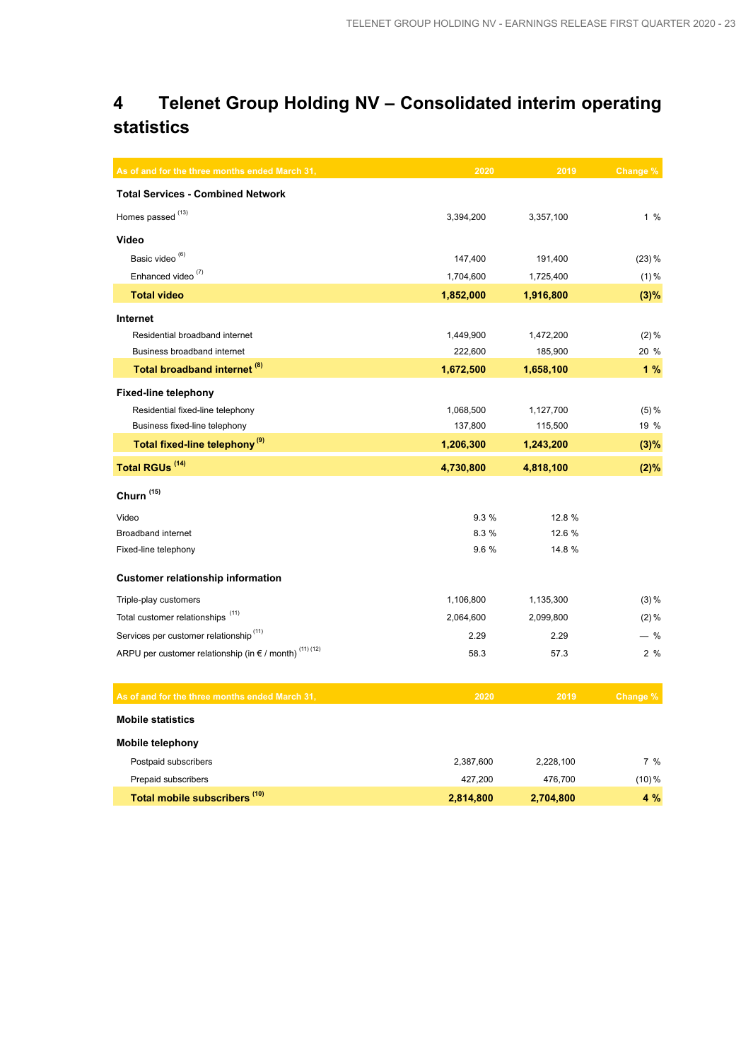## **4 Telenet Group Holding NV – Consolidated interim operating statistics**

| As of and for the three months ended March 31,                             | 2020      | 2019      | Change % |
|----------------------------------------------------------------------------|-----------|-----------|----------|
| <b>Total Services - Combined Network</b>                                   |           |           |          |
| Homes passed <sup>(13)</sup>                                               | 3,394,200 | 3,357,100 | 1%       |
| Video                                                                      |           |           |          |
| Basic video <sup>(6)</sup>                                                 | 147,400   | 191,400   | $(23)$ % |
| Enhanced video <sup>(7)</sup>                                              | 1,704,600 | 1,725,400 | $(1) \%$ |
| <b>Total video</b>                                                         | 1,852,000 | 1,916,800 | (3)%     |
| Internet                                                                   |           |           |          |
| Residential broadband internet                                             | 1,449,900 | 1,472,200 | $(2) \%$ |
| Business broadband internet                                                | 222,600   | 185,900   | 20 %     |
| Total broadband internet <sup>(8)</sup>                                    | 1,672,500 | 1,658,100 | 1%       |
| <b>Fixed-line telephony</b>                                                |           |           |          |
| Residential fixed-line telephony                                           | 1,068,500 | 1,127,700 | (5) %    |
| Business fixed-line telephony                                              | 137,800   | 115,500   | 19 %     |
| Total fixed-line telephony <sup>(9)</sup>                                  | 1,206,300 | 1,243,200 | (3)%     |
| Total RGUs <sup>(14)</sup>                                                 | 4,730,800 | 4,818,100 | (2)%     |
| Churn <sup>(15)</sup>                                                      |           |           |          |
| Video                                                                      | 9.3%      | 12.8 %    |          |
| <b>Broadband internet</b>                                                  | 8.3 %     | 12.6 %    |          |
| Fixed-line telephony                                                       | 9.6 %     | 14.8 %    |          |
| <b>Customer relationship information</b>                                   |           |           |          |
| Triple-play customers                                                      | 1,106,800 | 1,135,300 | $(3) \%$ |
| Total customer relationships <sup>(11)</sup>                               | 2,064,600 | 2,099,800 | $(2) \%$ |
| Services per customer relationship <sup>(11)</sup>                         | 2.29      | 2.29      | $-$ %    |
| ARPU per customer relationship (in $\epsilon$ / month) <sup>(11)(12)</sup> | 58.3      | 57.3      | 2%       |
| As of and for the three months ended March 31,                             | 2020      | 2019      | Change % |
| <b>Mobile statistics</b>                                                   |           |           |          |
| <b>Mobile telephony</b>                                                    |           |           |          |
| Postpaid subscribers                                                       | 2,387,600 | 2,228,100 | 7%       |
| Prepaid subscribers                                                        | 427,200   | 476,700   | $(10)\%$ |
| Total mobile subscribers <sup>(10)</sup>                                   | 2,814,800 | 2,704,800 | 4 %      |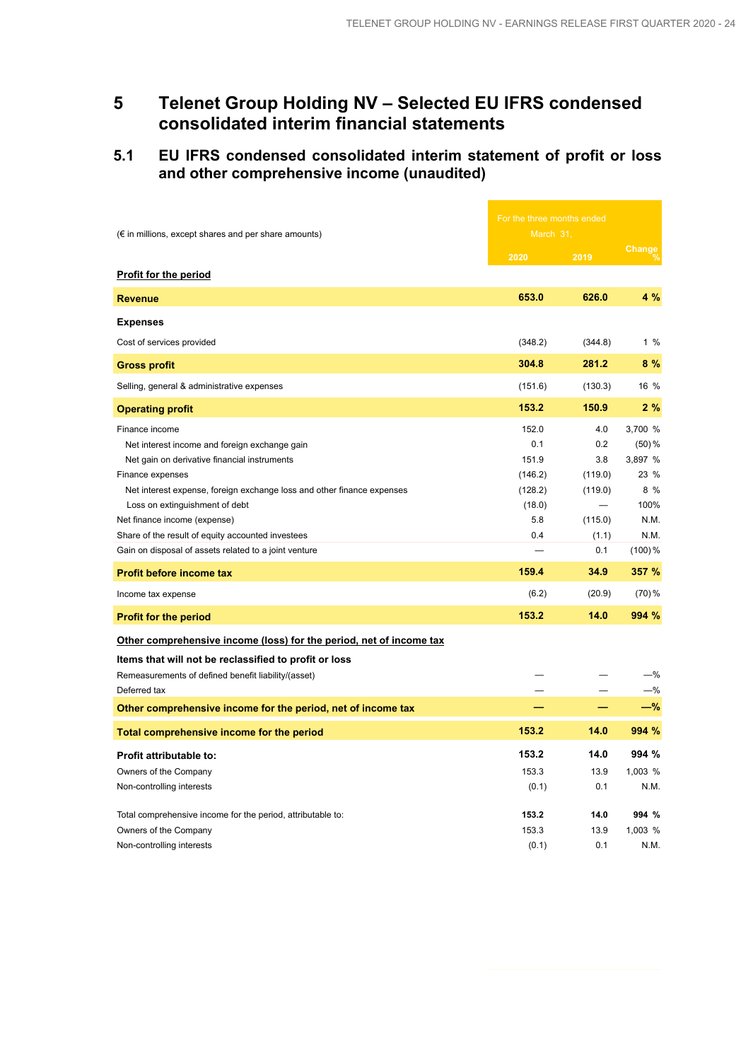÷

### **5 Telenet Group Holding NV – Selected EU IFRS condensed consolidated interim financial statements**

### **5.1 EU IFRS condensed consolidated interim statement of profit or loss and other comprehensive income (unaudited)**

|                                                                            |           | For the three months ended |          |  |
|----------------------------------------------------------------------------|-----------|----------------------------|----------|--|
| $(\epsilon$ in millions, except shares and per share amounts)              | March 31, |                            |          |  |
|                                                                            | 2020      | 2019                       | Change   |  |
| <b>Profit for the period</b>                                               |           |                            |          |  |
| <b>Revenue</b>                                                             | 653.0     | 626.0                      | 4 %      |  |
| <b>Expenses</b>                                                            |           |                            |          |  |
| Cost of services provided                                                  | (348.2)   | (344.8)                    | $1\%$    |  |
| <b>Gross profit</b>                                                        | 304.8     | 281.2                      | 8%       |  |
| Selling, general & administrative expenses                                 | (151.6)   | (130.3)                    | 16 %     |  |
| <b>Operating profit</b>                                                    | 153.2     | 150.9                      | 2%       |  |
| Finance income                                                             | 152.0     | 4.0                        | 3,700 %  |  |
| Net interest income and foreign exchange gain                              | 0.1       | 0.2                        | $(50)$ % |  |
| Net gain on derivative financial instruments                               | 151.9     | 3.8                        | 3,897 %  |  |
| Finance expenses                                                           | (146.2)   | (119.0)                    | 23 %     |  |
| Net interest expense, foreign exchange loss and other finance expenses     | (128.2)   | (119.0)                    | 8 %      |  |
| Loss on extinguishment of debt                                             | (18.0)    |                            | 100%     |  |
| Net finance income (expense)                                               | 5.8       | (115.0)                    | N.M.     |  |
| Share of the result of equity accounted investees                          | 0.4       | (1.1)                      | N.M.     |  |
| Gain on disposal of assets related to a joint venture                      |           | 0.1                        | (100)%   |  |
| <b>Profit before income tax</b>                                            | 159.4     | 34.9                       | 357 %    |  |
| Income tax expense                                                         | (6.2)     | (20.9)                     | $(70)$ % |  |
| <b>Profit for the period</b>                                               | 153.2     | 14.0                       | 994 %    |  |
| <u>Other comprehensive income (loss) for the period, net of income tax</u> |           |                            |          |  |
| Items that will not be reclassified to profit or loss                      |           |                            |          |  |
| Remeasurements of defined benefit liability/(asset)                        |           |                            | $-\%$    |  |
| Deferred tax                                                               |           |                            | $-\%$    |  |
| Other comprehensive income for the period, net of income tax               |           |                            | -%       |  |
| Total comprehensive income for the period                                  | 153.2     | 14.0                       | 994 %    |  |
| <b>Profit attributable to:</b>                                             | 153.2     | 14.0                       | 994 %    |  |
| Owners of the Company                                                      | 153.3     | 13.9                       | 1,003 %  |  |
| Non-controlling interests                                                  | (0.1)     | 0.1                        | N.M.     |  |
| Total comprehensive income for the period, attributable to:                | 153.2     | 14.0                       | 994 %    |  |
| Owners of the Company                                                      | 153.3     | 13.9                       | 1,003 %  |  |
| Non-controlling interests                                                  | (0.1)     | 0.1                        | N.M.     |  |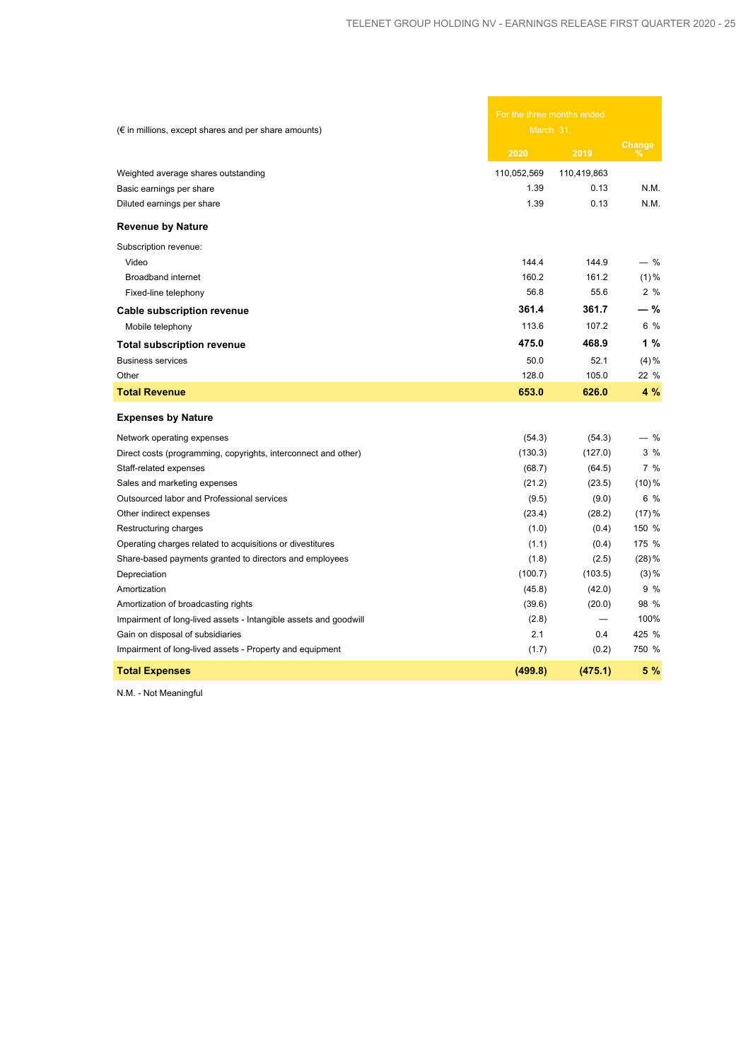| $(\epsilon$ in millions, except shares and per share amounts)    |             | For the three months ended<br>March 31, |          |  |
|------------------------------------------------------------------|-------------|-----------------------------------------|----------|--|
|                                                                  | 2020        | 2019                                    | Change   |  |
| Weighted average shares outstanding                              | 110,052,569 | 110,419,863                             |          |  |
| Basic earnings per share                                         | 1.39        | 0.13                                    | N.M.     |  |
| Diluted earnings per share                                       | 1.39        | 0.13                                    | N.M.     |  |
| <b>Revenue by Nature</b>                                         |             |                                         |          |  |
| Subscription revenue:                                            |             |                                         |          |  |
| Video                                                            | 144.4       | 144.9                                   | $-$ %    |  |
| <b>Broadband internet</b>                                        | 160.2       | 161.2                                   | $(1) \%$ |  |
| Fixed-line telephony                                             | 56.8        | 55.6                                    | 2%       |  |
| <b>Cable subscription revenue</b>                                | 361.4       | 361.7                                   | - %      |  |
| Mobile telephony                                                 | 113.6       | 107.2                                   | 6 %      |  |
| <b>Total subscription revenue</b>                                | 475.0       | 468.9                                   | 1%       |  |
| <b>Business services</b>                                         | 50.0        | 52.1                                    | $(4) \%$ |  |
| Other                                                            | 128.0       | 105.0                                   | 22 %     |  |
| <b>Total Revenue</b>                                             | 653.0       | 626.0                                   | 4 %      |  |
| <b>Expenses by Nature</b>                                        |             |                                         |          |  |
| Network operating expenses                                       | (54.3)      | (54.3)                                  | - %      |  |
| Direct costs (programming, copyrights, interconnect and other)   | (130.3)     | (127.0)                                 | 3%       |  |
| Staff-related expenses                                           | (68.7)      | (64.5)                                  | 7 %      |  |
| Sales and marketing expenses                                     | (21.2)      | (23.5)                                  | $(10)\%$ |  |
| Outsourced labor and Professional services                       | (9.5)       | (9.0)                                   | 6 %      |  |
| Other indirect expenses                                          | (23.4)      | (28.2)                                  | (17)%    |  |
| Restructuring charges                                            | (1.0)       | (0.4)                                   | 150 %    |  |
| Operating charges related to acquisitions or divestitures        | (1.1)       | (0.4)                                   | 175 %    |  |
| Share-based payments granted to directors and employees          | (1.8)       | (2.5)                                   | $(28)$ % |  |
| Depreciation                                                     | (100.7)     | (103.5)                                 | $(3) \%$ |  |
| Amortization                                                     | (45.8)      | (42.0)                                  | 9%       |  |
| Amortization of broadcasting rights                              | (39.6)      | (20.0)                                  | 98 %     |  |
| Impairment of long-lived assets - Intangible assets and goodwill | (2.8)       |                                         | 100%     |  |
| Gain on disposal of subsidiaries                                 | 2.1         | 0.4                                     | 425 %    |  |
| Impairment of long-lived assets - Property and equipment         | (1.7)       | (0.2)                                   | 750 %    |  |
| <b>Total Expenses</b>                                            | (499.8)     | (475.1)                                 | 5 %      |  |

N.M. - Not Meaningful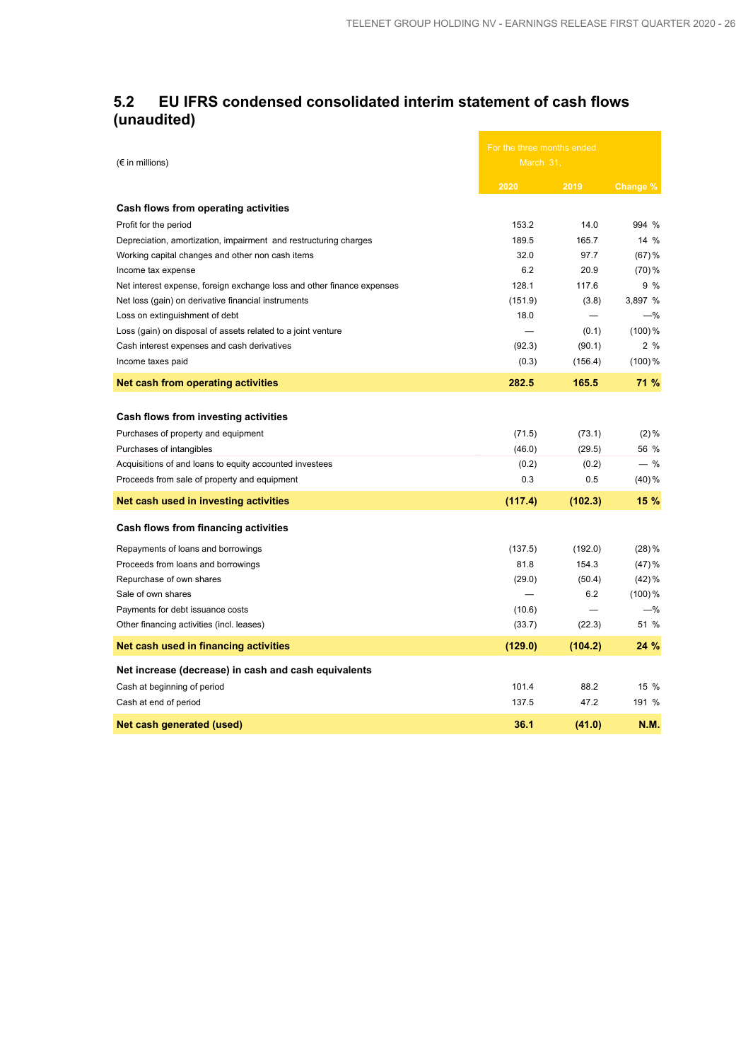### **5.2 EU IFRS condensed consolidated interim statement of cash flows (unaudited)** and the control of the control of the control of

|                                                                        | For the three months ended |          |             |
|------------------------------------------------------------------------|----------------------------|----------|-------------|
| $(\epsilon$ in millions)                                               | March 31,                  |          |             |
|                                                                        | 2020                       | 2019     | Change %    |
| Cash flows from operating activities                                   |                            |          |             |
| Profit for the period                                                  | 153.2                      | 14.0     | 994 %       |
| Depreciation, amortization, impairment and restructuring charges       | 189.5                      | 165.7    | 14 %        |
| Working capital changes and other non cash items                       | 32.0                       | 97.7     | $(67)$ %    |
| Income tax expense                                                     | 6.2                        | 20.9     | $(70)$ %    |
| Net interest expense, foreign exchange loss and other finance expenses | 128.1                      | 117.6    | 9 %         |
| Net loss (gain) on derivative financial instruments                    | (151.9)                    | (3.8)    | 3,897 %     |
| Loss on extinguishment of debt                                         | 18.0                       | $\equiv$ | -%          |
| Loss (gain) on disposal of assets related to a joint venture           |                            | (0.1)    | $(100)$ %   |
| Cash interest expenses and cash derivatives                            | (92.3)                     | (90.1)   | 2%          |
| Income taxes paid                                                      | (0.3)                      | (156.4)  | $(100)$ %   |
| Net cash from operating activities                                     | 282.5                      | 165.5    | 71 %        |
|                                                                        |                            |          |             |
| Cash flows from investing activities                                   |                            |          |             |
| Purchases of property and equipment                                    | (71.5)                     | (73.1)   | $(2) \%$    |
| Purchases of intangibles                                               | (46.0)                     | (29.5)   | 56 %        |
| Acquisitions of and loans to equity accounted investees                | (0.2)                      | (0.2)    | $-$ %       |
| Proceeds from sale of property and equipment                           | 0.3                        | 0.5      | $(40) \%$   |
| Net cash used in investing activities                                  | (117.4)                    | (102.3)  | 15 %        |
| Cash flows from financing activities                                   |                            |          |             |
| Repayments of loans and borrowings                                     | (137.5)                    | (192.0)  | $(28)$ %    |
| Proceeds from loans and borrowings                                     | 81.8                       | 154.3    | (47)%       |
| Repurchase of own shares                                               | (29.0)                     | (50.4)   | $(42)$ %    |
| Sale of own shares                                                     |                            | 6.2      | $(100)$ %   |
| Payments for debt issuance costs                                       | (10.6)                     |          | $-\%$       |
| Other financing activities (incl. leases)                              | (33.7)                     | (22.3)   | 51 %        |
| Net cash used in financing activities                                  | (129.0)                    | (104.2)  | 24 %        |
| Net increase (decrease) in cash and cash equivalents                   |                            |          |             |
| Cash at beginning of period                                            | 101.4                      | 88.2     | 15 %        |
| Cash at end of period                                                  | 137.5                      | 47.2     | 191 %       |
| Net cash generated (used)                                              | 36.1                       | (41.0)   | <b>N.M.</b> |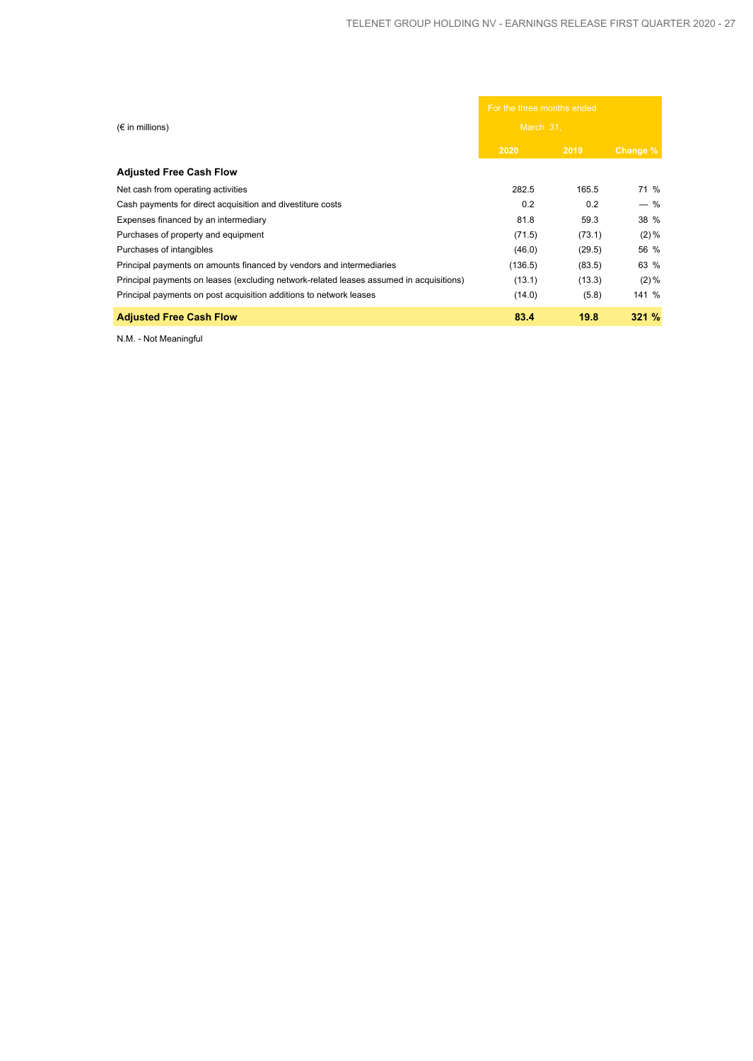|                                                                                         | For the three months ended |        |          |
|-----------------------------------------------------------------------------------------|----------------------------|--------|----------|
| $(\epsilon$ in millions)                                                                | March 31.                  |        |          |
|                                                                                         | 2020                       | 2019   | Change % |
| <b>Adjusted Free Cash Flow</b>                                                          |                            |        |          |
| Net cash from operating activities                                                      | 282.5                      | 165.5  | 71 %     |
| Cash payments for direct acquisition and divestiture costs                              | 0.2                        | 0.2    | $-$ %    |
| Expenses financed by an intermediary                                                    | 81.8                       | 59.3   | 38 %     |
| Purchases of property and equipment                                                     | (71.5)                     | (73.1) | $(2)\%$  |
| Purchases of intangibles                                                                | (46.0)                     | (29.5) | 56 %     |
| Principal payments on amounts financed by vendors and intermediaries                    | (136.5)                    | (83.5) | 63 %     |
| Principal payments on leases (excluding network-related leases assumed in acquisitions) | (13.1)                     | (13.3) | $(2)\%$  |
| Principal payments on post acquisition additions to network leases                      | (14.0)                     | (5.8)  | 141 %    |
| <b>Adjusted Free Cash Flow</b>                                                          | 83.4                       | 19.8   | 321%     |

N.M. - Not Meaningful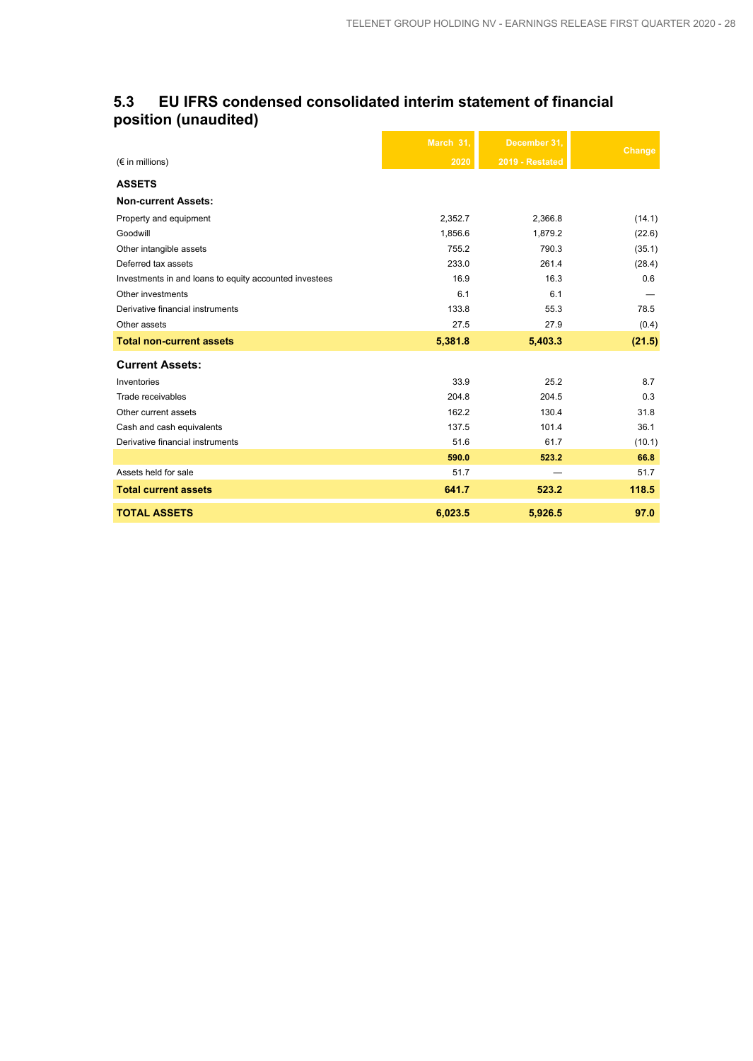### **5.3 EU IFRS condensed consolidated interim statement of financial position (unaudited)**

|                                                        | March 31, | December 31.    | Change |
|--------------------------------------------------------|-----------|-----------------|--------|
| $(\epsilon$ in millions)                               | 2020      | 2019 - Restated |        |
| <b>ASSETS</b>                                          |           |                 |        |
| <b>Non-current Assets:</b>                             |           |                 |        |
| Property and equipment                                 | 2,352.7   | 2,366.8         | (14.1) |
| Goodwill                                               | 1,856.6   | 1,879.2         | (22.6) |
| Other intangible assets                                | 755.2     | 790.3           | (35.1) |
| Deferred tax assets                                    | 233.0     | 261.4           | (28.4) |
| Investments in and loans to equity accounted investees | 16.9      | 16.3            | 0.6    |
| Other investments                                      | 6.1       | 6.1             |        |
| Derivative financial instruments                       | 133.8     | 55.3            | 78.5   |
| Other assets                                           | 27.5      | 27.9            | (0.4)  |
| <b>Total non-current assets</b>                        | 5,381.8   | 5,403.3         | (21.5) |
| <b>Current Assets:</b>                                 |           |                 |        |
| Inventories                                            | 33.9      | 25.2            | 8.7    |
| Trade receivables                                      | 204.8     | 204.5           | 0.3    |
| Other current assets                                   | 162.2     | 130.4           | 31.8   |
| Cash and cash equivalents                              | 137.5     | 101.4           | 36.1   |
| Derivative financial instruments                       | 51.6      | 61.7            | (10.1) |
|                                                        | 590.0     | 523.2           | 66.8   |
| Assets held for sale                                   | 51.7      |                 | 51.7   |
| <b>Total current assets</b>                            | 641.7     | 523.2           | 118.5  |
| <b>TOTAL ASSETS</b>                                    | 6,023.5   | 5,926.5         | 97.0   |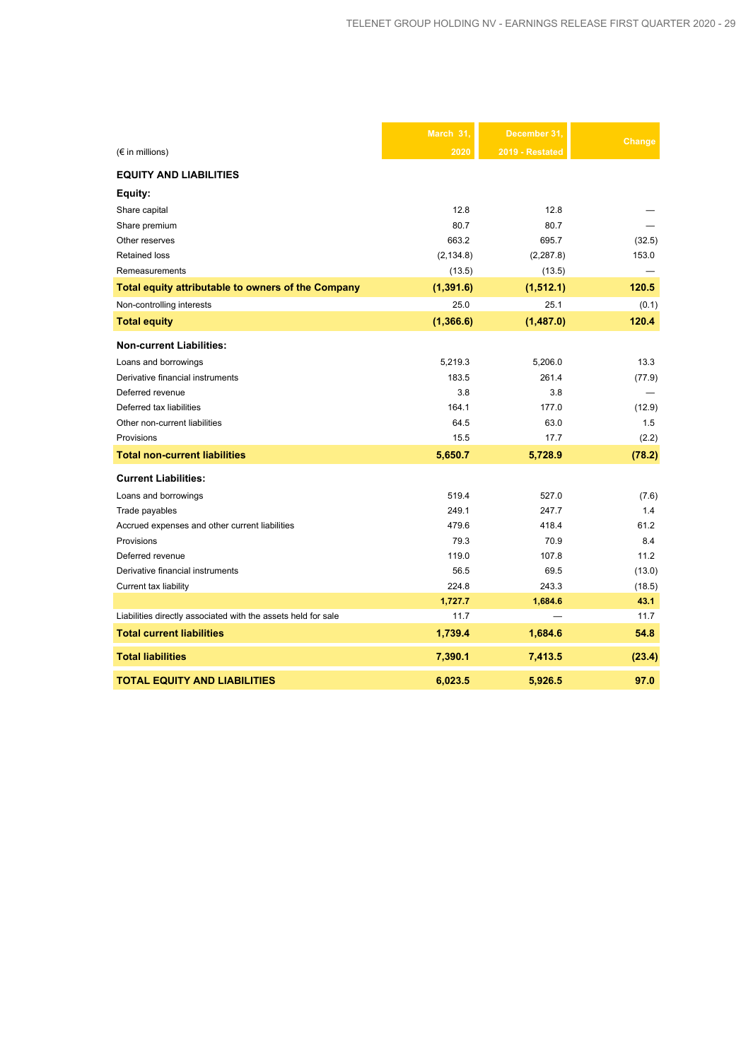|                                                               | March 31,  | December 31.    | Change |
|---------------------------------------------------------------|------------|-----------------|--------|
| $(\epsilon$ in millions)                                      | 2020       | 2019 - Restated |        |
| <b>EQUITY AND LIABILITIES</b>                                 |            |                 |        |
| Equity:                                                       |            |                 |        |
| Share capital                                                 | 12.8       | 12.8            |        |
| Share premium                                                 | 80.7       | 80.7            |        |
| Other reserves                                                | 663.2      | 695.7           | (32.5) |
| <b>Retained loss</b>                                          | (2, 134.8) | (2, 287.8)      | 153.0  |
| Remeasurements                                                | (13.5)     | (13.5)          |        |
| Total equity attributable to owners of the Company            | (1, 391.6) | (1,512.1)       | 120.5  |
| Non-controlling interests                                     | 25.0       | 25.1            | (0.1)  |
| <b>Total equity</b>                                           | (1,366.6)  | (1,487.0)       | 120.4  |
| <b>Non-current Liabilities:</b>                               |            |                 |        |
| Loans and borrowings                                          | 5,219.3    | 5,206.0         | 13.3   |
| Derivative financial instruments                              | 183.5      | 261.4           | (77.9) |
| Deferred revenue                                              | 3.8        | 3.8             |        |
| Deferred tax liabilities                                      | 164.1      | 177.0           | (12.9) |
| Other non-current liabilities                                 | 64.5       | 63.0            | 1.5    |
| Provisions                                                    | 15.5       | 17.7            | (2.2)  |
| <b>Total non-current liabilities</b>                          | 5,650.7    | 5,728.9         | (78.2) |
| <b>Current Liabilities:</b>                                   |            |                 |        |
| Loans and borrowings                                          | 519.4      | 527.0           | (7.6)  |
| Trade payables                                                | 249.1      | 247.7           | 1.4    |
| Accrued expenses and other current liabilities                | 479.6      | 418.4           | 61.2   |
| Provisions                                                    | 79.3       | 70.9            | 8.4    |
| Deferred revenue                                              | 119.0      | 107.8           | 11.2   |
| Derivative financial instruments                              | 56.5       | 69.5            | (13.0) |
| Current tax liability                                         | 224.8      | 243.3           | (18.5) |
|                                                               | 1,727.7    | 1,684.6         | 43.1   |
| Liabilities directly associated with the assets held for sale | 11.7       |                 | 11.7   |
| <b>Total current liabilities</b>                              | 1,739.4    | 1,684.6         | 54.8   |
| <b>Total liabilities</b>                                      | 7,390.1    | 7,413.5         | (23.4) |
| <b>TOTAL EQUITY AND LIABILITIES</b>                           | 6,023.5    | 5.926.5         | 97.0   |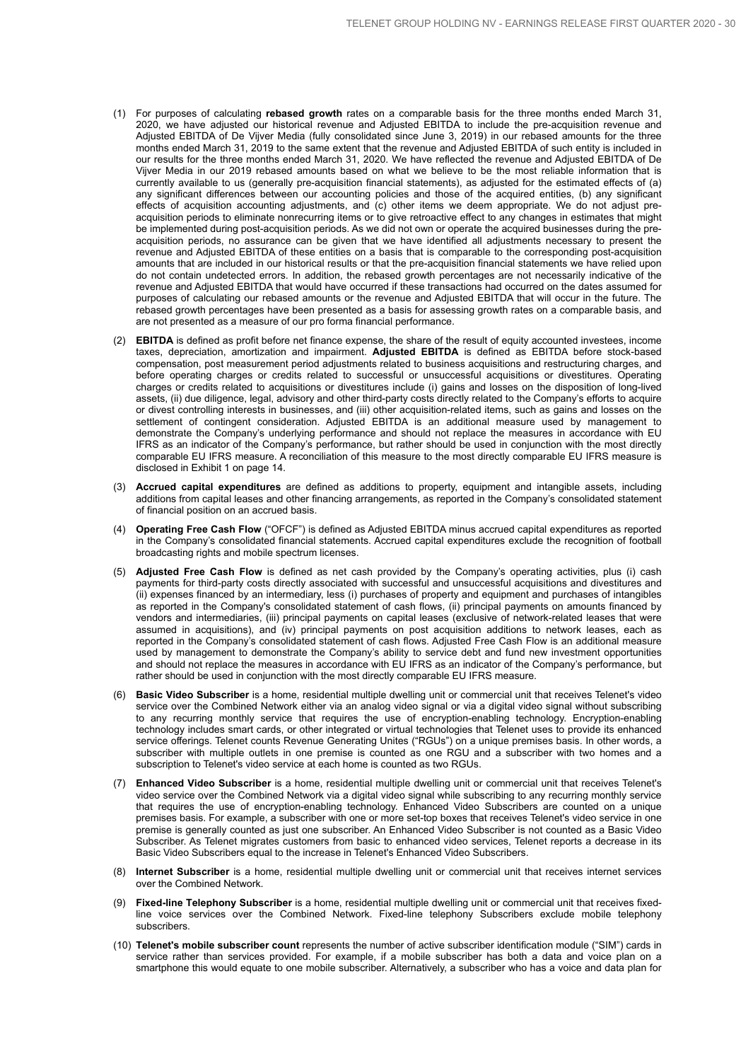- (1) For purposes of calculating **rebased growth** rates on a comparable basis for the three months ended March 31, 2020, we have adjusted our historical revenue and Adjusted EBITDA to include the pre-acquisition revenue and Adjusted EBITDA of De Vijver Media (fully consolidated since June 3, 2019) in our rebased amounts for the three months ended March 31, 2019 to the same extent that the revenue and Adjusted EBITDA of such entity is included in our results for the three months ended March 31, 2020. We have reflected the revenue and Adjusted EBITDA of De Vijver Media in our 2019 rebased amounts based on what we believe to be the most reliable information that is currently available to us (generally pre-acquisition financial statements), as adjusted for the estimated effects of (a) any significant differences between our accounting policies and those of the acquired entities, (b) any significant effects of acquisition accounting adjustments, and (c) other items we deem appropriate. We do not adjust preacquisition periods to eliminate nonrecurring items or to give retroactive effect to any changes in estimates that might be implemented during post-acquisition periods. As we did not own or operate the acquired businesses during the preacquisition periods, no assurance can be given that we have identified all adjustments necessary to present the revenue and Adjusted EBITDA of these entities on a basis that is comparable to the corresponding post-acquisition amounts that are included in our historical results or that the pre-acquisition financial statements we have relied upon do not contain undetected errors. In addition, the rebased growth percentages are not necessarily indicative of the revenue and Adjusted EBITDA that would have occurred if these transactions had occurred on the dates assumed for purposes of calculating our rebased amounts or the revenue and Adjusted EBITDA that will occur in the future. The rebased growth percentages have been presented as a basis for assessing growth rates on a comparable basis, and are not presented as a measure of our pro forma financial performance.
- (2) **EBITDA** is defined as profit before net finance expense, the share of the result of equity accounted investees, income taxes, depreciation, amortization and impairment. **Adjusted EBITDA** is defined as EBITDA before stock-based compensation, post measurement period adjustments related to business acquisitions and restructuring charges, and before operating charges or credits related to successful or unsuccessful acquisitions or divestitures. Operating charges or credits related to acquisitions or divestitures include (i) gains and losses on the disposition of long-lived assets, (ii) due diligence, legal, advisory and other third-party costs directly related to the Company's efforts to acquire or divest controlling interests in businesses, and (iii) other acquisition-related items, such as gains and losses on the settlement of contingent consideration. Adjusted EBITDA is an additional measure used by management to demonstrate the Company's underlying performance and should not replace the measures in accordance with EU IFRS as an indicator of the Company's performance, but rather should be used in conjunction with the most directly comparable EU IFRS measure. A reconciliation of this measure to the most directly comparable EU IFRS measure is disclosed in Exhibit 1 on page 14.
- (3) **Accrued capital expenditures** are defined as additions to property, equipment and intangible assets, including additions from capital leases and other financing arrangements, as reported in the Company's consolidated statement of financial position on an accrued basis.
- (4) **Operating Free Cash Flow** ("OFCF") is defined as Adjusted EBITDA minus accrued capital expenditures as reported in the Company's consolidated financial statements. Accrued capital expenditures exclude the recognition of football broadcasting rights and mobile spectrum licenses.
- (5) **Adjusted Free Cash Flow** is defined as net cash provided by the Company's operating activities, plus (i) cash payments for third-party costs directly associated with successful and unsuccessful acquisitions and divestitures and (ii) expenses financed by an intermediary, less (i) purchases of property and equipment and purchases of intangibles as reported in the Company's consolidated statement of cash flows, (ii) principal payments on amounts financed by vendors and intermediaries, (iii) principal payments on capital leases (exclusive of network-related leases that were assumed in acquisitions), and (iv) principal payments on post acquisition additions to network leases, each as reported in the Company's consolidated statement of cash flows. Adjusted Free Cash Flow is an additional measure used by management to demonstrate the Company's ability to service debt and fund new investment opportunities and should not replace the measures in accordance with EU IFRS as an indicator of the Company's performance, but rather should be used in conjunction with the most directly comparable EU IFRS measure.
- (6) **Basic Video Subscriber** is a home, residential multiple dwelling unit or commercial unit that receives Telenet's video service over the Combined Network either via an analog video signal or via a digital video signal without subscribing to any recurring monthly service that requires the use of encryption-enabling technology. Encryption-enabling technology includes smart cards, or other integrated or virtual technologies that Telenet uses to provide its enhanced service offerings. Telenet counts Revenue Generating Unites ("RGUs") on a unique premises basis. In other words, a subscriber with multiple outlets in one premise is counted as one RGU and a subscriber with two homes and a subscription to Telenet's video service at each home is counted as two RGUs.
- (7) **Enhanced Video Subscriber** is a home, residential multiple dwelling unit or commercial unit that receives Telenet's video service over the Combined Network via a digital video signal while subscribing to any recurring monthly service that requires the use of encryption-enabling technology. Enhanced Video Subscribers are counted on a unique premises basis. For example, a subscriber with one or more set-top boxes that receives Telenet's video service in one premise is generally counted as just one subscriber. An Enhanced Video Subscriber is not counted as a Basic Video Subscriber. As Telenet migrates customers from basic to enhanced video services, Telenet reports a decrease in its Basic Video Subscribers equal to the increase in Telenet's Enhanced Video Subscribers.
- (8) **Internet Subscriber** is a home, residential multiple dwelling unit or commercial unit that receives internet services over the Combined Network.
- (9) **Fixed-line Telephony Subscriber** is a home, residential multiple dwelling unit or commercial unit that receives fixedline voice services over the Combined Network. Fixed-line telephony Subscribers exclude mobile telephony subscribers.
- (10) **Telenet's mobile subscriber count** represents the number of active subscriber identification module ("SIM") cards in service rather than services provided. For example, if a mobile subscriber has both a data and voice plan on a smartphone this would equate to one mobile subscriber. Alternatively, a subscriber who has a voice and data plan for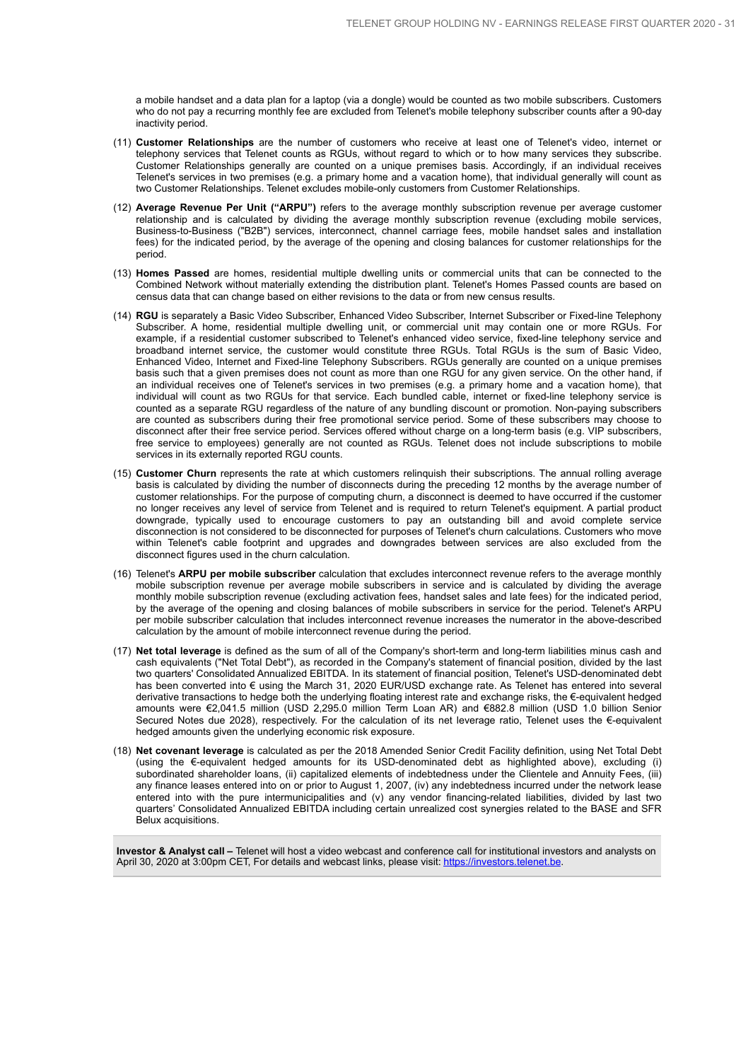a mobile handset and a data plan for a laptop (via a dongle) would be counted as two mobile subscribers. Customers who do not pay a recurring monthly fee are excluded from Telenet's mobile telephony subscriber counts after a 90-day inactivity period.

- (11) **Customer Relationships** are the number of customers who receive at least one of Telenet's video, internet or telephony services that Telenet counts as RGUs, without regard to which or to how many services they subscribe. Customer Relationships generally are counted on a unique premises basis. Accordingly, if an individual receives Telenet's services in two premises (e.g. a primary home and a vacation home), that individual generally will count as two Customer Relationships. Telenet excludes mobile-only customers from Customer Relationships.
- (12) **Average Revenue Per Unit ("ARPU")** refers to the average monthly subscription revenue per average customer relationship and is calculated by dividing the average monthly subscription revenue (excluding mobile services, Business-to-Business ("B2B") services, interconnect, channel carriage fees, mobile handset sales and installation fees) for the indicated period, by the average of the opening and closing balances for customer relationships for the period.
- (13) **Homes Passed** are homes, residential multiple dwelling units or commercial units that can be connected to the Combined Network without materially extending the distribution plant. Telenet's Homes Passed counts are based on census data that can change based on either revisions to the data or from new census results.
- (14) **RGU** is separately a Basic Video Subscriber, Enhanced Video Subscriber, Internet Subscriber or Fixed-line Telephony Subscriber. A home, residential multiple dwelling unit, or commercial unit may contain one or more RGUs. For example, if a residential customer subscribed to Telenet's enhanced video service, fixed-line telephony service and broadband internet service, the customer would constitute three RGUs. Total RGUs is the sum of Basic Video, Enhanced Video, Internet and Fixed-line Telephony Subscribers. RGUs generally are counted on a unique premises basis such that a given premises does not count as more than one RGU for any given service. On the other hand, if an individual receives one of Telenet's services in two premises (e.g. a primary home and a vacation home), that individual will count as two RGUs for that service. Each bundled cable, internet or fixed-line telephony service is counted as a separate RGU regardless of the nature of any bundling discount or promotion. Non-paying subscribers are counted as subscribers during their free promotional service period. Some of these subscribers may choose to disconnect after their free service period. Services offered without charge on a long-term basis (e.g. VIP subscribers, free service to employees) generally are not counted as RGUs. Telenet does not include subscriptions to mobile services in its externally reported RGU counts.
- (15) **Customer Churn** represents the rate at which customers relinquish their subscriptions. The annual rolling average basis is calculated by dividing the number of disconnects during the preceding 12 months by the average number of customer relationships. For the purpose of computing churn, a disconnect is deemed to have occurred if the customer no longer receives any level of service from Telenet and is required to return Telenet's equipment. A partial product downgrade, typically used to encourage customers to pay an outstanding bill and avoid complete service disconnection is not considered to be disconnected for purposes of Telenet's churn calculations. Customers who move within Telenet's cable footprint and upgrades and downgrades between services are also excluded from the disconnect figures used in the churn calculation.
- (16) Telenet's **ARPU per mobile subscriber** calculation that excludes interconnect revenue refers to the average monthly mobile subscription revenue per average mobile subscribers in service and is calculated by dividing the average monthly mobile subscription revenue (excluding activation fees, handset sales and late fees) for the indicated period, by the average of the opening and closing balances of mobile subscribers in service for the period. Telenet's ARPU per mobile subscriber calculation that includes interconnect revenue increases the numerator in the above-described calculation by the amount of mobile interconnect revenue during the period.
- (17) **Net total leverage** is defined as the sum of all of the Company's short-term and long-term liabilities minus cash and cash equivalents ("Net Total Debt"), as recorded in the Company's statement of financial position, divided by the last two quarters' Consolidated Annualized EBITDA. In its statement of financial position, Telenet's USD-denominated debt has been converted into € using the March 31, 2020 EUR/USD exchange rate. As Telenet has entered into several derivative transactions to hedge both the underlying floating interest rate and exchange risks, the €-equivalent hedged amounts were €2,041.5 million (USD 2,295.0 million Term Loan AR) and €882.8 million (USD 1.0 billion Senior Secured Notes due 2028), respectively. For the calculation of its net leverage ratio, Telenet uses the €-equivalent hedged amounts given the underlying economic risk exposure.
- (18) **Net covenant leverage** is calculated as per the 2018 Amended Senior Credit Facility definition, using Net Total Debt (using the €-equivalent hedged amounts for its USD-denominated debt as highlighted above), excluding (i) subordinated shareholder loans, (ii) capitalized elements of indebtedness under the Clientele and Annuity Fees, (iii) any finance leases entered into on or prior to August 1, 2007, (iv) any indebtedness incurred under the network lease entered into with the pure intermunicipalities and (v) any vendor financing-related liabilities, divided by last two quarters' Consolidated Annualized EBITDA including certain unrealized cost synergies related to the BASE and SFR Belux acquisitions.

**Investor & Analyst call –** Telenet will host a video webcast and conference call for institutional investors and analysts on April 30, 2020 at 3:00pm CET, For details and webcast links, please visit: https://investors.telenet.be